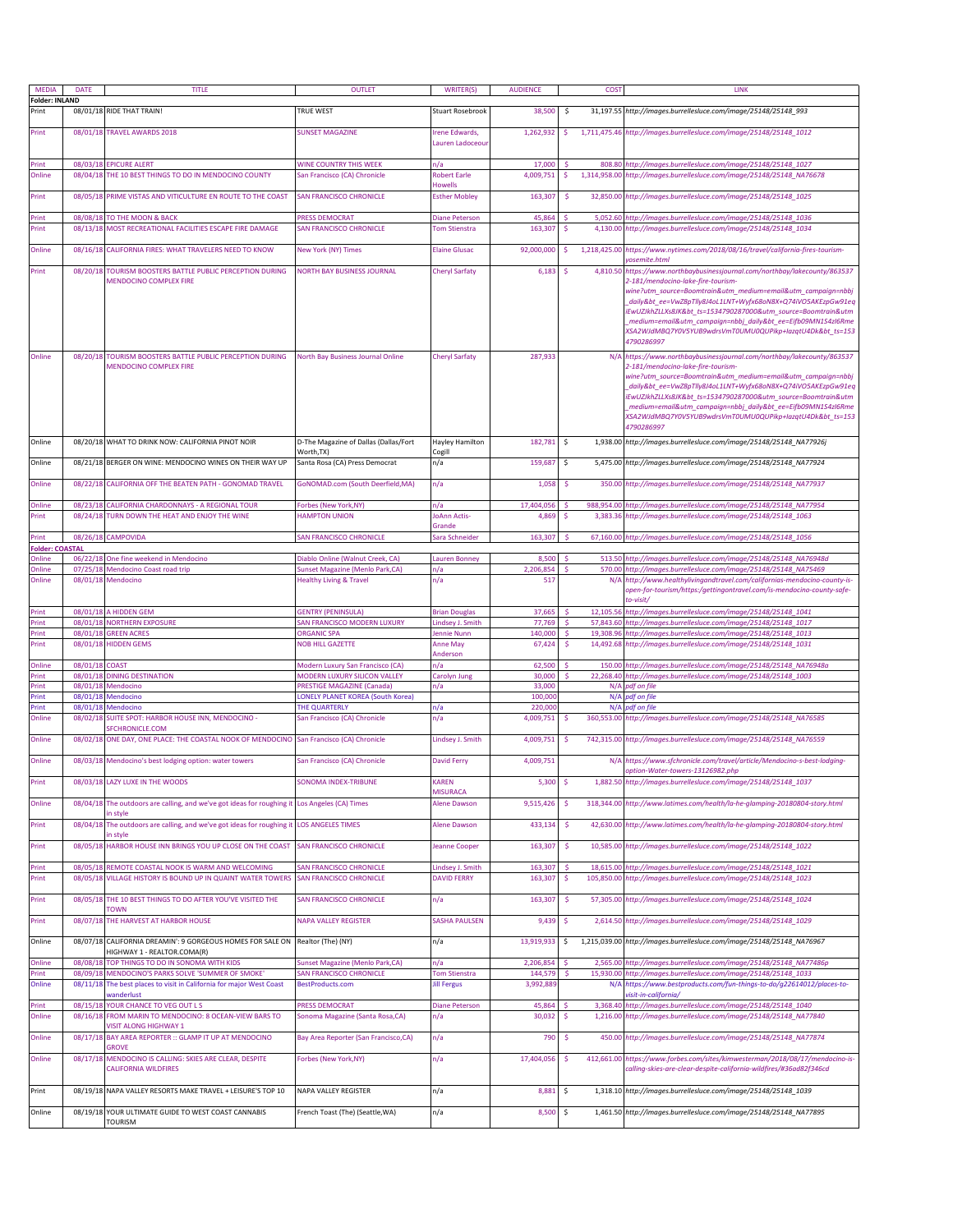| <b>MEDIA</b>                    | <b>DATE</b>          | TITLE                                                                                                             | <b>OUTLET</b>                                                  | <b>WRITER(S)</b>                           | <b>AUDIENCE</b>      | <b>COST</b>                              | LINK                                                                                                                                                                                                                                                                                                                                                                                                                                                   |
|---------------------------------|----------------------|-------------------------------------------------------------------------------------------------------------------|----------------------------------------------------------------|--------------------------------------------|----------------------|------------------------------------------|--------------------------------------------------------------------------------------------------------------------------------------------------------------------------------------------------------------------------------------------------------------------------------------------------------------------------------------------------------------------------------------------------------------------------------------------------------|
| <b>Folder: INLAND</b><br>Print  |                      | 08/01/18 RIDE THAT TRAIN!                                                                                         | TRUE WEST                                                      | Stuart Rosebrook                           | 38,500               | -\$                                      | 31,197.55 http://images.burrellesluce.com/image/25148/25148_993                                                                                                                                                                                                                                                                                                                                                                                        |
| Print                           |                      | 08/01/18 TRAVEL AWARDS 2018                                                                                       | <b>SUNSET MAGAZINE</b>                                         | Irene Edwards,<br>Lauren Ladoceou          | 1,262,932            | \$                                       | 1,711,475.46 http://images.burrellesluce.com/image/25148/25148_1012                                                                                                                                                                                                                                                                                                                                                                                    |
|                                 |                      |                                                                                                                   |                                                                |                                            |                      |                                          |                                                                                                                                                                                                                                                                                                                                                                                                                                                        |
| Print<br>Online                 |                      | 08/03/18 EPICURE ALERT<br>08/04/18 THE 10 BEST THINGS TO DO IN MENDOCINO COUNTY                                   | WINE COUNTRY THIS WEEK                                         | n/a<br><b>Robert Earle</b>                 | 17,000<br>4.009.751  | 808.80                                   | http://images.burrellesluce.com/image/25148/25148_1027                                                                                                                                                                                                                                                                                                                                                                                                 |
| Print                           | 08/05/18             | PRIME VISTAS AND VITICULTURE EN ROUTE TO THE COAST                                                                | San Francisco (CA) Chronicle<br><b>SAN FRANCISCO CHRONICLE</b> | Howells<br><b>Esther Mobley</b>            | 163,307              | \$<br>1,314,958.00<br>-S<br>32,850.00    | http://images.burrellesluce.com/image/25148/25148_NA76678<br>http://images.burrellesluce.com/image/25148/25148_1025                                                                                                                                                                                                                                                                                                                                    |
|                                 |                      |                                                                                                                   |                                                                |                                            |                      |                                          |                                                                                                                                                                                                                                                                                                                                                                                                                                                        |
| Print<br>Print                  | 08/13/18             | 08/08/18 TO THE MOON & BACK<br>MOST RECREATIONAL FACILITIES ESCAPE FIRE DAMAGE                                    | <b>RESS DEMOCRAT</b><br>SAN FRANCISCO CHRONICLE                | Diane Peterson<br><b>Tom Stienstra</b>     | 45,864<br>163,307    | 5,052.60<br>-Ś                           | http://images.burrellesluce.com/image/25148/25148_1036<br>4,130.00 http://images.burrellesluce.com/image/25148/25148_1034                                                                                                                                                                                                                                                                                                                              |
|                                 |                      |                                                                                                                   |                                                                |                                            |                      |                                          |                                                                                                                                                                                                                                                                                                                                                                                                                                                        |
| Online                          |                      | 08/16/18 CALIFORNIA FIRES: WHAT TRAVELERS NEED TO KNOW                                                            | New York (NY) Times                                            | <b>Elaine Glusac</b>                       | 92,000,000           | 1,218,425.00<br>\$                       | https://www.nytimes.com/2018/08/16/travel/california-fires-tourism-<br>rosemite.html                                                                                                                                                                                                                                                                                                                                                                   |
| Print                           | 08/20/18             | TOURISM BOOSTERS BATTLE PUBLIC PERCEPTION DURING                                                                  | <b>NORTH BAY BUSINESS JOURNAL</b>                              | <b>Cheryl Sarfaty</b>                      | 6,183                | 4,810.50                                 | https://www.northbaybusinessjournal.com/northbay/lakecounty/863537                                                                                                                                                                                                                                                                                                                                                                                     |
|                                 |                      | MENDOCINO COMPLEX FIRE                                                                                            |                                                                |                                            |                      |                                          | 2-181/mendocino-lake-fire-tourism-<br>wine?utm_source=Boomtrain&utm_medium=email&utm_campaign=nbbj<br>daily&bt_ee=VwZ8pTlly8J4oL1LNT+Wyfx68oN8X+Q74iVO5AKEzpGw91eq<br>iEwUZJkhZLLXs8JK&bt_ts=1534790287000&utm_source=Boomtrain&utm<br>medium=email&utm_campaign=nbbj_daily&bt_ee=Eifb09MN1S4zI6Rme<br>XSA2WJdMBQ7Y0V5YUB9wdrsVmT0UMU0QUPikp+lazqtU4Dk&bt_ts=153<br>4790286997                                                                         |
| Online                          | 08/20/18             | TOURISM BOOSTERS BATTLE PUBLIC PERCEPTION DURING<br>MENDOCINO COMPLEX FIRE                                        | North Bay Business Journal Online                              | <b>Cheryl Sarfaty</b>                      | 287,933              | N/A                                      | https://www.northbaybusinessjournal.com/northbay/lakecounty/863537<br>2-181/mendocino-lake-fire-tourism-<br>wine?utm_source=Boomtrain&utm_medium=email&utm_campaign=nbbj<br>_daily&bt_ee=VwZ8pTlly8J4oL1LNT+Wyfx68oN8X+Q74iVO5AKEzpGw91eq<br>iEwUZJkhZLLXs8JK&bt_ts=1534790287000&utm_source=Boomtrain&utm<br>_medium=email&utm_campaign=nbbj_daily&bt_ee=Eifb09MN1S4zI6Rme<br>XSA2WJdMBQ7Y0V5YUB9wdrsVmT0UMU0QUPikp+lazqtU4Dk&bt_ts=153<br>4790286997 |
| Online                          |                      | 08/20/18 WHAT TO DRINK NOW: CALIFORNIA PINOT NOIR                                                                 | D-The Magazine of Dallas (Dallas/Fort<br>Worth,TX)             | Hayley Hamilton<br>Cogill                  | 182,781              | -\$                                      | 1,938.00 http://images.burrellesluce.com/image/25148/25148_NA77926j                                                                                                                                                                                                                                                                                                                                                                                    |
| Online                          |                      | 08/21/18 BERGER ON WINE: MENDOCINO WINES ON THEIR WAY UP                                                          | Santa Rosa (CA) Press Democrat                                 | n/a                                        | 159,687              | $\ddot{\mathsf{s}}$                      | 5,475.00 http://images.burrellesluce.com/image/25148/25148_NA77924                                                                                                                                                                                                                                                                                                                                                                                     |
| Online                          | 08/22/18             | CALIFORNIA OFF THE BEATEN PATH - GONOMAD TRAVEL                                                                   | GoNOMAD.com (South Deerfield, MA)                              | n/a                                        | 1,058                | -\$<br>350.00                            | http://images.burrellesluce.com/image/25148/25148_NA77937                                                                                                                                                                                                                                                                                                                                                                                              |
| Online                          | 08/23/18             | CALIFORNIA CHARDONNAYS - A REGIONAL TOUR                                                                          | Forbes (New York,NY)                                           | n/a                                        | 17,404,056           | 988,954.00                               | http://images.burrellesluce.com/image/25148/25148_NA77954                                                                                                                                                                                                                                                                                                                                                                                              |
| Print                           |                      | 08/24/18 TURN DOWN THE HEAT AND ENJOY THE WINE                                                                    | <b>HAMPTON UNION</b>                                           | <b>JoAnn Actis-</b>                        | 4,869                | 3,383.36<br>.s                           | http://images.burrellesluce.com/image/25148/25148_1063                                                                                                                                                                                                                                                                                                                                                                                                 |
|                                 |                      | 08/26/18 CAMPOVIDA                                                                                                |                                                                | Grande                                     | 163,307              | 67.160.00                                |                                                                                                                                                                                                                                                                                                                                                                                                                                                        |
| Print<br><b>Folder: COASTAL</b> |                      |                                                                                                                   | AN FRANCISCO CHRONICLE                                         | Sara Schneider                             |                      |                                          | http://images.burrellesluce.com/image/25148/25148_1056                                                                                                                                                                                                                                                                                                                                                                                                 |
| Online                          |                      | 06/22/18 One fine weekend in Mendocino                                                                            | Diablo Online (Walnut Creek, CA)                               | <b>Lauren Bonney</b>                       | 8,500                | 513.50<br>.s                             | http://images.burrellesluce.com/image/25148/25148_NA76948d                                                                                                                                                                                                                                                                                                                                                                                             |
| Online                          | 07/25/18             | Mendocino Coast road trip                                                                                         | Sunset Magazine (Menlo Park, CA)                               | n/a                                        | 2,206,854            | 570.00                                   | http://images.burrellesluce.com/image/25148/25148_NA75469                                                                                                                                                                                                                                                                                                                                                                                              |
| Online                          |                      | 08/01/18 Mendocino                                                                                                | <b>Healthy Living &amp; Travel</b>                             | n/a                                        | 517                  | N/I                                      | http://www.healthylivingandtravel.com/californias-mendocino-county-is-<br>open-for-tourism/https:/gettingontravel.com/is-mendocino-county-safe-<br>to-visit/                                                                                                                                                                                                                                                                                           |
| Print<br>Print                  | 08/01/18<br>08/01/18 | A HIDDEN GEM<br><b>NORTHERN EXPOSURE</b>                                                                          | <b>GENTRY (PENINSULA)</b><br>SAN FRANCISCO MODERN LUXURY       | <b>Brian Douglas</b><br>Lindsey J. Smith   | 37,665<br>77,769     | -Ś<br>12,105.56<br><b>S</b><br>57,843.60 | http://images.burrellesluce.com/image/25148/25148_1041<br>http://images.burrellesluce.com/image/25148/25148_1017                                                                                                                                                                                                                                                                                                                                       |
| Print                           | 08/01/18             | <b>GREEN ACRES</b>                                                                                                | <b>ORGANIC SPA</b>                                             | ennie Nunn                                 | 140,000              | 19,308.96<br>.s                          | http://images.burrellesluce.com/image/25148/25148_1013                                                                                                                                                                                                                                                                                                                                                                                                 |
| Print                           | 08/01/18             | <b>HIDDEN GEMS</b>                                                                                                | <b>NOB HILL GAZETTE</b>                                        | <b>Anne May</b>                            | 67,424               | 14,492.68<br>-Ś                          | http://images.burrellesluce.com/image/25148/25148_1031                                                                                                                                                                                                                                                                                                                                                                                                 |
| Online                          | 08/01/18             | <b>COAST</b>                                                                                                      | Modern Luxury San Francisco (CA)                               | Anderson<br>n/a                            | 62,500               | -\$<br>150.00                            | http://images.burrellesluce.com/image/25148/25148_NA76948a                                                                                                                                                                                                                                                                                                                                                                                             |
| Print                           | 08/01/18             | <b>DINING DESTINATION</b>                                                                                         | MODERN LUXURY SILICON VALLEY                                   | Carolyn Jung                               | 30,000               | 22,268.40<br>-\$                         | http://images.burrellesluce.com/image/25148/25148_1003                                                                                                                                                                                                                                                                                                                                                                                                 |
| Print                           | 08/01/18             | Mendocino                                                                                                         | PRESTIGE MAGAZINE (Canada)                                     | n/a                                        | 33,000               | N/A                                      | pdf on file                                                                                                                                                                                                                                                                                                                                                                                                                                            |
| Print                           | 08/01/18             | Mendocino                                                                                                         | <b>ONELY PLANET KOREA (South Korea)</b><br>THE QUARTERLY       |                                            | 100,000              | N/A                                      | odf on file                                                                                                                                                                                                                                                                                                                                                                                                                                            |
| Print<br>Online                 | 08/01/18<br>08/02/18 | Mendocino<br>SUITE SPOT: HARBOR HOUSE INN, MENDOCINO-<br>SFCHRONICLE.COM                                          | San Francisco (CA) Chronicle                                   | n/a<br>n/a                                 | 220,000<br>4,009,751 | N/A<br>360,553.00                        | pdf on file<br>http://images.burrellesluce.com/image/25148/25148_NA76585                                                                                                                                                                                                                                                                                                                                                                               |
| Online                          |                      | 08/02/18 ONE DAY, ONE PLACE: THE COASTAL NOOK OF MENDOCINO San Francisco (CA) Chronicle                           |                                                                | Lindsey J. Smith                           | 4,009,751            | -\$                                      | 742,315.00 http://images.burrellesluce.com/image/25148/25148_NA76559                                                                                                                                                                                                                                                                                                                                                                                   |
| Online                          |                      | 08/03/18 Mendocino's best lodging option: water towers                                                            | San Francisco (CA) Chronicle                                   | <b>David Ferry</b>                         | 4,009,751            |                                          | N/A https://www.sfchronicle.com/travel/article/Mendocino-s-best-lodging-<br>option-Water-towers-13126982.php                                                                                                                                                                                                                                                                                                                                           |
| Print                           |                      | 08/03/18 LAZY LUXE IN THE WOODS                                                                                   | SONOMA INDEX-TRIBUNE                                           | <b>KAREN</b><br><b>MISURACA</b>            | 5,300                |                                          | 1,882.50 http://images.burrellesluce.com/image/25148/25148_1037                                                                                                                                                                                                                                                                                                                                                                                        |
| Online                          | 08/04/18             | The outdoors are calling, and we've got ideas for roughing it Los Angeles (CA) Times<br>n style                   |                                                                | <b>Alene Dawson</b>                        | 9,515,426            | -\$<br>318,344.00                        | http://www.latimes.com/health/la-he-glamping-20180804-story.html                                                                                                                                                                                                                                                                                                                                                                                       |
| Print                           | 08/04/18             | The outdoors are calling, and we've got ideas for roughing it LOS ANGELES TIMES<br>in style                       |                                                                | Alene Dawson                               | 433,134              | -\$<br>42,630.00                         | http://www.latimes.com/health/la-he-glamping-20180804-story.html                                                                                                                                                                                                                                                                                                                                                                                       |
| Print                           | 08/05/18             | HARBOR HOUSE INN BRINGS YOU UP CLOSE ON THE COAST                                                                 | SAN FRANCISCO CHRONICLE                                        | <b>Ieanne Cooper</b>                       | 163,307              | $\ddot{\mathsf{s}}$<br>10,585.00         | http://images.burrellesluce.com/image/25148/25148_1022                                                                                                                                                                                                                                                                                                                                                                                                 |
| Print<br>Print                  | 08/05/18             | REMOTE COASTAL NOOK IS WARM AND WELCOMING<br>08/05/18 VILLAGE HISTORY IS BOUND UP IN QUAINT WATER TOWERS          | SAN FRANCISCO CHRONICLE<br><b>SAN FRANCISCO CHRONICLE</b>      | Lindsey J. Smith<br><b>DAVID FERRY</b>     | 163,307<br>163,307   | 18,615.00<br>-S<br>-\$<br>105,850.00     | http://images.burrellesluce.com/image/25148/25148_1021<br>http://images.burrellesluce.com/image/25148/25148_1023                                                                                                                                                                                                                                                                                                                                       |
|                                 |                      | 08/05/18 THE 10 BEST THINGS TO DO AFTER YOU'VE VISITED THE                                                        |                                                                |                                            |                      |                                          |                                                                                                                                                                                                                                                                                                                                                                                                                                                        |
| Print                           |                      | <b>TOWN</b>                                                                                                       | SAN FRANCISCO CHRONICLE                                        | n/a                                        | 163,307              | -\$<br>57,305.00                         | http://images.burrellesluce.com/image/25148/25148_1024                                                                                                                                                                                                                                                                                                                                                                                                 |
| Print                           | 08/07/18             | THE HARVEST AT HARBOR HOUSE                                                                                       | <b>NAPA VALLEY REGISTER</b>                                    | SASHA PAULSEN                              | 9,439                | -\$<br>2,614.50                          | http://images.burrellesluce.com/image/25148/25148_1029                                                                                                                                                                                                                                                                                                                                                                                                 |
| Online                          |                      | 08/07/18 CALIFORNIA DREAMIN': 9 GORGEOUS HOMES FOR SALE ON Realtor (The) (NY)<br>HIGHWAY 1 - REALTOR.COMA(R)      |                                                                | n/a                                        | 13,919,933           | \$                                       | 1,215,039.00 http://images.burrellesluce.com/image/25148/25148_NA76967                                                                                                                                                                                                                                                                                                                                                                                 |
| Online                          | 08/08/18             | TOP THINGS TO DO IN SONOMA WITH KIDS                                                                              | Sunset Magazine (Menlo Park,CA)                                | n/a                                        | 2,206,854            | 2,565.00                                 | http://images.burrellesluce.com/image/25148/25148_NA77486p                                                                                                                                                                                                                                                                                                                                                                                             |
| Print<br>Online                 | 08/09/18             | MENDOCINO'S PARKS SOLVE 'SUMMER OF SMOKE'<br>08/11/18 The best places to visit in California for major West Coast | SAN FRANCISCO CHRONICLE<br>BestProducts.com                    | <b>Tom Stienstra</b><br><b>Jill Fergus</b> | 144,579<br>3,992,889 | 15,930.00<br>N/A                         | http://images.burrellesluce.com/image/25148/25148_1033<br>https://www.bestproducts.com/fun-things-to-do/g22614012/places-to-                                                                                                                                                                                                                                                                                                                           |
|                                 |                      | wanderlust                                                                                                        |                                                                |                                            |                      |                                          | visit-in-california/                                                                                                                                                                                                                                                                                                                                                                                                                                   |
| Print                           | 08/15/18             | YOUR CHANCE TO VEG OUT L S                                                                                        | <b>PRESS DEMOCRAT</b>                                          | <b>Diane Peterson</b>                      | 45,864               | 3,368.40                                 | http://images.burrellesluce.com/image/25148/25148_1040                                                                                                                                                                                                                                                                                                                                                                                                 |
| Online                          |                      | 08/16/18 FROM MARIN TO MENDOCINO: 8 OCEAN-VIEW BARS TO<br>VISIT ALONG HIGHWAY 1                                   | Sonoma Magazine (Santa Rosa,CA)                                | n/a                                        | 30,032               | -\$                                      | 1,216.00 http://images.burrellesluce.com/image/25148/25148_NA77840                                                                                                                                                                                                                                                                                                                                                                                     |
| Online                          |                      | 08/17/18 BAY AREA REPORTER :: GLAMP IT UP AT MENDOCINO<br><b>GROVE</b>                                            | Bay Area Reporter (San Francisco,CA)                           | n/a                                        | 790                  | -\$                                      | 450.00 http://images.burrellesluce.com/image/25148/25148_NA77874                                                                                                                                                                                                                                                                                                                                                                                       |
| Online                          | 08/17/18             | MENDOCINO IS CALLING: SKIES ARE CLEAR, DESPITE<br>CALIFORNIA WILDFIRES                                            | Forbes (New York, NY)                                          | n/a                                        | 17,404,056           |                                          | 412,661.00 https://www.forbes.com/sites/kimwesterman/2018/08/17/mendocino-is-<br>calling-skies-are-clear-despite-california-wildfires/#36ad82f346cd                                                                                                                                                                                                                                                                                                    |
| Print                           |                      | 08/19/18 NAPA VALLEY RESORTS MAKE TRAVEL + LEISURE'S TOP 10                                                       | NAPA VALLEY REGISTER                                           | n/a                                        | 8,881                | \$                                       | 1,318.10 http://images.burrellesluce.com/image/25148/25148_1039                                                                                                                                                                                                                                                                                                                                                                                        |
| Online                          |                      | 08/19/18 YOUR ULTIMATE GUIDE TO WEST COAST CANNABIS<br><b>TOURISM</b>                                             | French Toast (The) (Seattle, WA)                               | n/a                                        | 8,500                | \$                                       | 1,461.50 http://images.burrellesluce.com/image/25148/25148_NA77895                                                                                                                                                                                                                                                                                                                                                                                     |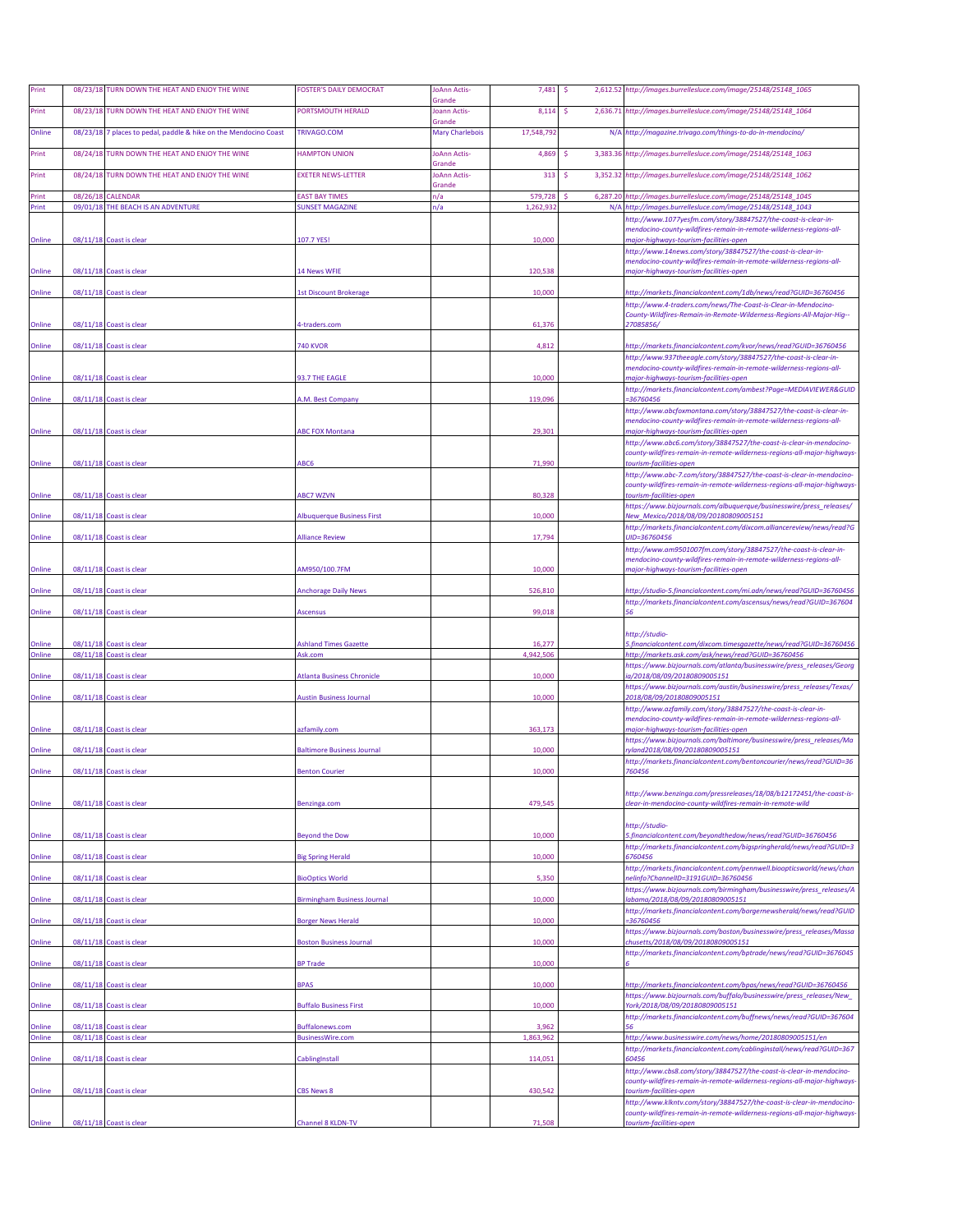| Print            |          | 08/23/18 TURN DOWN THE HEAT AND ENJOY THE WINE          | <b>FOSTER'S DAILY DEMOCRAT</b>                    | JoAnn Actis-<br>Grande           | 7,481              | -\$ | 2,612.52 http://images.burrellesluce.com/image/25148/25148_1065                                                                                   |
|------------------|----------|---------------------------------------------------------|---------------------------------------------------|----------------------------------|--------------------|-----|---------------------------------------------------------------------------------------------------------------------------------------------------|
| Print            |          | 08/23/18 TURN DOWN THE HEAT AND ENJOY THE WINE          | PORTSMOUTH HERALD                                 | Joann Actis-                     | 8,114              | -S  | 2,636.71 http://images.burrellesluce.com/image/25148/25148_1064                                                                                   |
| Online           | 08/23/18 | 7 places to pedal, paddle & hike on the Mendocino Coast | TRIVAGO.COM                                       | Grande<br><b>Mary Charlebois</b> | 17,548,79          |     | N/A http://magazine.trivago.com/things-to-do-in-mendocino/                                                                                        |
| Print            |          | 08/24/18 TURN DOWN THE HEAT AND ENJOY THE WINE          | <b>HAMPTON UNION</b>                              | <b>JoAnn Actis-</b>              | 4,869              |     | 3,383.36 http://images.burrellesluce.com/image/25148/25148_1063                                                                                   |
| Print            |          | 08/24/18 TURN DOWN THE HEAT AND ENJOY THE WINE          | <b>EXETER NEWS-LETTER</b>                         | Grande<br><b>JoAnn Actis-</b>    | 313                | -Ś  | 3,352.32 http://images.burrellesluce.com/image/25148/25148_1062                                                                                   |
| Print            | 08/26/18 | CALENDAR                                                | <b>EAST BAY TIMES</b>                             | Grande<br>n/a                    | 579,728            |     | 6,287.20 http://images.burrellesluce.com/image/25148/25148 1045                                                                                   |
| Print            |          | 09/01/18 THE BEACH IS AN ADVENTURE                      | <b>SUNSET MAGAZINE</b>                            | n/a                              | 1,262,93           |     | N/A http://images.burrellesluce.com/image/25148/25148_1043                                                                                        |
|                  |          |                                                         |                                                   |                                  |                    |     | http://www.1077yesfm.com/story/38847527/the-coast-is-clear-in-<br>mendocino-county-wildfires-remain-in-remote-wilderness-regions-all-             |
| Online           |          | 08/11/18 Coast is clear                                 | 107.7 YES!                                        |                                  | 10,000             |     | major-highways-tourism-facilities-open<br>http://www.14news.com/story/38847527/the-coast-is-clear-in-                                             |
| Online           |          | 08/11/18 Coast is clear                                 |                                                   |                                  | 120,538            |     | mendocino-county-wildfires-remain-in-remote-wilderness-regions-all-                                                                               |
|                  |          |                                                         | 14 News WFIE                                      |                                  |                    |     | major-highways-tourism-facilities-open                                                                                                            |
| Online           |          | 08/11/18 Coast is clear                                 | <b>1st Discount Brokerage</b>                     |                                  | 10,000             |     | http://markets.financialcontent.com/1db/news/read?GUID=36760456<br>http://www.4-traders.com/news/The-Coast-is-Clear-in-Mendocino-                 |
| Online           |          | 08/11/18 Coast is clear                                 | 4-traders.com                                     |                                  | 61,376             |     | County-Wildfires-Remain-in-Remote-Wilderness-Regions-All-Major-Hig--<br>27085856/                                                                 |
| Online           |          | 08/11/18 Coast is clear                                 | 740 KVOR                                          |                                  | 4,812              |     | ttp://markets.financialcontent.com/kvor/news/read?GUID=36760456                                                                                   |
|                  |          |                                                         |                                                   |                                  |                    |     | http://www.937theeagle.com/story/38847527/the-coast-is-clear-in-                                                                                  |
| Online           |          | 08/11/18 Coast is clear                                 | 93.7 THE EAGLE                                    |                                  | 10,000             |     | mendocino-county-wildfires-remain-in-remote-wilderness-regions-all-<br>najor-highways-tourism-facilities-open                                     |
| Online           |          | 08/11/18 Coast is clear                                 | A.M. Best Company                                 |                                  | 119,096            |     | http://markets.financialcontent.com/ambest?Page=MEDIAVIEWER&GUID<br>-36760456                                                                     |
|                  |          |                                                         |                                                   |                                  |                    |     | http://www.abcfoxmontana.com/story/38847527/the-coast-is-clear-in-<br>mendocino-county-wildfires-remain-in-remote-wilderness-regions-all-         |
| Online           |          | 08/11/18 Coast is clear                                 | <b>ABC FOX Montana</b>                            |                                  | 29,301             |     | major-highways-tourism-facilities-open<br>http://www.abc6.com/story/38847527/the-coast-is-clear-in-mendocino-                                     |
|                  |          |                                                         |                                                   |                                  | 71,990             |     | county-wildfires-remain-in-remote-wilderness-regions-all-major-highways                                                                           |
| Online           |          | 08/11/18 Coast is clear                                 | ABC6                                              |                                  |                    |     | tourism-facilities-open<br>http://www.abc-7.com/story/38847527/the-coast-is-clear-in-mendocino-                                                   |
| Online           |          | 08/11/18 Coast is clear                                 | <b>ABC7 WZVN</b>                                  |                                  | 80,328             |     | county-wildfires-remain-in-remote-wilderness-regions-all-major-highways-<br>tourism-facilities-open                                               |
| Online           |          | 08/11/18 Coast is clear                                 | <b>Albuquerque Business First</b>                 |                                  | 10,000             |     | https://www.bizjournals.com/albuquerque/businesswire/press_releases/<br>New_Mexico/2018/08/09/20180809005151                                      |
| Online           |          | 08/11/18 Coast is clear                                 | <b>Alliance Review</b>                            |                                  | 17,794             |     | http://markets.financialcontent.com/dixcom.alliancereview/news/read?G<br>JID=36760456                                                             |
|                  |          |                                                         |                                                   |                                  |                    |     | http://www.am9501007fm.com/story/38847527/the-coast-is-clear-in-                                                                                  |
| Online           |          | 08/11/18 Coast is clear                                 | AM950/100.7FM                                     |                                  | 10,000             |     | mendocino-county-wildfires-remain-in-remote-wilderness-regions-all-<br>major-highways-tourism-facilities-open                                     |
| Online           |          | 08/11/18 Coast is clear                                 | <b>Anchorage Daily News</b>                       |                                  | 526,810            |     | http://studio-5.financialcontent.com/mi.adn/news/read?GUID=36760456                                                                               |
| Online           |          | 08/11/18 Coast is clear                                 | Ascensus                                          |                                  | 99,018             |     | http://markets.financialcontent.com/ascensus/news/read?GUID=367604                                                                                |
|                  |          |                                                         |                                                   |                                  |                    |     | http://studio-                                                                                                                                    |
| Online           |          | 08/11/18 Coast is clear                                 | <b>Ashland Times Gazette</b>                      |                                  | 16.277<br>4,942,50 |     | i.financialcontent.com/dixcom.timesgazette/news/read?GUID=36760456                                                                                |
| Online           |          | 08/11/18 Coast is clear                                 | Ask.com                                           |                                  |                    |     | http://markets.ask.com/ask/news/read?GUID=36760456<br>https://www.bizjournals.com/atlanta/businesswire/press_releases/Georg                       |
| Online           |          | 08/11/18 Coast is clear                                 | <b>Atlanta Business Chronicle</b>                 |                                  | 10,000             |     | a/2018/08/09/20180809005151<br>https://www.bizjournals.com/austin/businesswire/press_releases/Texas/                                              |
| Online           |          | 08/11/18 Coast is clear                                 | <b>Austin Business Journal</b>                    |                                  | 10,000             |     | 2018/08/09/20180809005151<br>http://www.azfamily.com/story/38847527/the-coast-is-clear-in-                                                        |
| Online           |          | 08/11/18 Coast is clear                                 | azfamily.com                                      |                                  | 363,173            |     | mendocino-county-wildfires-remain-in-remote-wilderness-regions-all-<br>major-highways-tourism-facilities-open                                     |
|                  |          |                                                         |                                                   |                                  |                    |     | https://www.bizjournals.com/baltimore/businesswire/press_releases/Ma<br>vland2018/08/09/20180809005151                                            |
| Online           |          | 08/11/18 Coast is clear                                 | <b>Baltimore Business Journal</b>                 |                                  | 10,000             |     | http://markets.financialcontent.com/bentoncourier/news/read?GUID=36                                                                               |
| Online           |          | 08/11/18 Coast is clear                                 | <b>Benton Courier</b>                             |                                  | 10,000             |     | 760456                                                                                                                                            |
| Online           |          | 08/11/18 Coast is clear                                 | Benzinga.com                                      |                                  | 479,545            |     | http://www.benzinga.com/pressreleases/18/08/b12172451/the-coast-is-<br>clear-in-mendocino-county-wildfires-remain-in-remote-wild                  |
|                  |          |                                                         |                                                   |                                  |                    |     | http://studio-                                                                                                                                    |
| Online           |          | 08/11/18 Coast is clear                                 | <b>Beyond the Dow</b>                             |                                  | 10,000             |     | i.financialcontent.com/beyondthedow/news/read?GUID=36760456<br>http://markets.financialcontent.com/bigspringherald/news/read?GUID=3               |
| Online           |          | 08/11/18 Coast is clear                                 | <b>Big Spring Herald</b>                          |                                  | 10,000             |     | 6760456                                                                                                                                           |
| Online           |          | 08/11/18 Coast is clear                                 | <b>BioOptics World</b>                            |                                  | 5,350              |     | http://markets.financialcontent.com/pennwell.bioopticsworld/news/chan<br>nelinfo?ChannelID=3191GUID=36760456                                      |
| Online           |          | 08/11/18 Coast is clear                                 | <b>Birmingham Business Journal</b>                |                                  | 10,000             |     | https://www.bizjournals.com/birmingham/businesswire/press_releases/A<br>labama/2018/08/09/20180809005151                                          |
| Online           |          | 08/11/18 Coast is clear                                 | <b>Borger News Herald</b>                         |                                  | 10,000             |     | http://markets.financialcontent.com/borgernewsherald/news/read?GUID<br>36760456                                                                   |
|                  |          | 08/11/18 Coast is clear                                 |                                                   |                                  | 10,000             |     | https://www.bizjournals.com/boston/businesswire/press_releases/Massa<br>chusetts/2018/08/09/20180809005151                                        |
| Online           |          |                                                         | <b>Boston Business Journal</b>                    |                                  |                    |     | http://markets.financialcontent.com/bptrade/news/read?GUID=3676045                                                                                |
| Online           |          | 08/11/18 Coast is clear                                 | <b>BP Trade</b>                                   |                                  | 10,000             |     |                                                                                                                                                   |
| Online           |          | 08/11/18 Coast is clear                                 | <b>BPAS</b>                                       |                                  | 10,000             |     | http://markets.financialcontent.com/bpas/news/read?GUID=36760456<br>https://www.bizjournals.com/buffalo/businesswire/press_releases/New_          |
| Online           |          | 08/11/18 Coast is clear                                 | <b>Buffalo Business First</b>                     |                                  | 10,000             |     | York/2018/08/09/20180809005151<br>http://markets.financialcontent.com/buffnews/news/read?GUID=367604                                              |
| Online<br>Online |          | 08/11/18 Coast is clear<br>08/11/18 Coast is clear      | <b>Buffalonews.com</b><br><b>BusinessWire.com</b> |                                  | 3,962<br>1,863,962 |     |                                                                                                                                                   |
|                  |          |                                                         |                                                   |                                  |                    |     | http://www.businesswire.com/news/home/20180809005151/en<br>http://markets.financialcontent.com/cablinginstall/news/read?GUID=367                  |
| Online           |          | 08/11/18 Coast is clear                                 | CablingInstall                                    |                                  | 114,051            |     | http://www.cbs8.com/story/38847527/the-coast-is-clear-in-mendocino-                                                                               |
| Online           |          | 08/11/18 Coast is clear                                 | <b>CBS News 8</b>                                 |                                  | 430,542            |     | county-wildfires-remain-in-remote-wilderness-regions-all-major-highways<br>tourism-facilities-open                                                |
|                  |          |                                                         |                                                   |                                  |                    |     | http://www.klkntv.com/story/38847527/the-coast-is-clear-in-mendocino-<br>county-wildfires-remain-in-remote-wilderness-regions-all-major-highways- |
| Online           |          | 08/11/18 Coast is clear                                 | Channel 8 KLDN-TV                                 |                                  | 71,508             |     | tourism-facilities-open                                                                                                                           |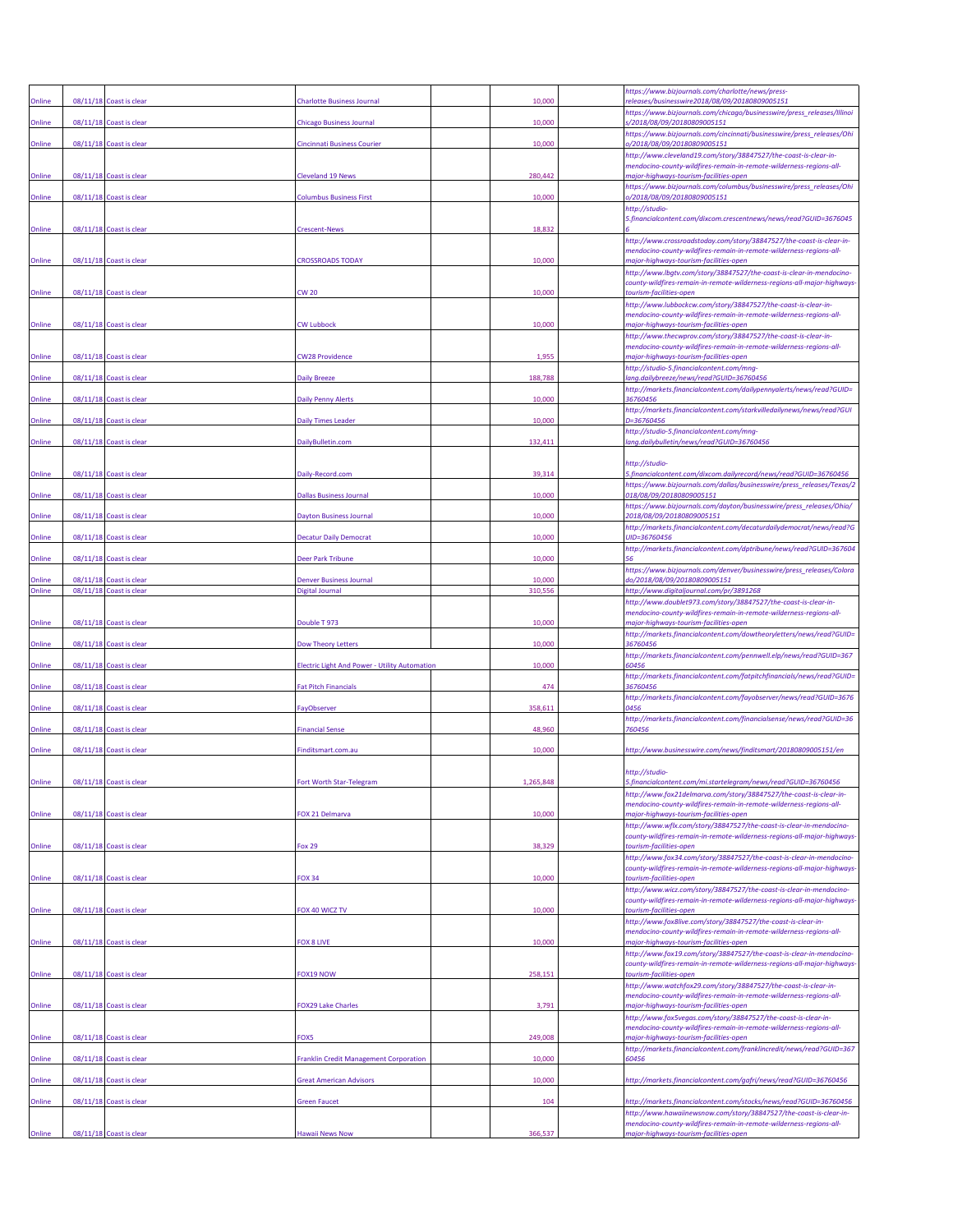|        |          |                         |                                               |         | https://www.bizjournals.com/charlotte/news/press-                                                                                                |
|--------|----------|-------------------------|-----------------------------------------------|---------|--------------------------------------------------------------------------------------------------------------------------------------------------|
| Online |          | 08/11/18 Coast is clear | <b>Charlotte Business Journal</b>             | 10,000  | releases/businesswire2018/08/09/20180809005151<br>https://www.bizjournals.com/chicago/businesswire/press_releases/Illinoi                        |
| Online |          | 08/11/18 Coast is clear | <b>Chicago Business Journal</b>               | 10,000  | /2018/08/09/20180809005151                                                                                                                       |
| Online |          | 08/11/18 Coast is clear | Cincinnati Business Courier                   | 10,000  | https://www.bizjournals.com/cincinnati/businesswire/press_releases/Ohi<br>0/2018/08/09/20180809005151                                            |
|        |          |                         |                                               |         | http://www.cleveland19.com/story/38847527/the-coast-is-clear-in-<br>mendocino-county-wildfires-remain-in-remote-wilderness-regions-all-          |
| Online |          | 08/11/18 Coast is clear | <b>Cleveland 19 News</b>                      | 280,442 | major-highways-tourism-facilities-open<br>https://www.bizjournals.com/columbus/businesswire/press_releases/Ohi                                   |
| Online |          | 08/11/18 Coast is clear | <b>Columbus Business First</b>                | 10,000  | 0/2018/08/09/20180809005151<br>http://studio-                                                                                                    |
| Online |          | 08/11/18 Coast is clear |                                               | 18,832  | 5.financialcontent.com/dixcom.crescentnews/news/read?GUID=3676045                                                                                |
|        |          |                         | <b>Crescent-News</b>                          |         | http://www.crossroadstoday.com/story/38847527/the-coast-is-clear-in-                                                                             |
| Online |          | 08/11/18 Coast is clear | <b>CROSSROADS TODAY</b>                       | 10,000  | mendocino-county-wildfires-remain-in-remote-wilderness-regions-all-<br>major-highways-tourism-facilities-open                                    |
|        |          |                         |                                               |         | http://www.lbgtv.com/story/38847527/the-coast-is-clear-in-mendocino-<br>county-wildfires-remain-in-remote-wilderness-regions-all-major-highways- |
| Online |          | 08/11/18 Coast is clear | CW 20                                         | 10,000  | tourism-facilities-open<br>http://www.lubbockcw.com/story/38847527/the-coast-is-clear-in-                                                        |
| Online |          | 08/11/18 Coast is clear | <b>CW Lubbock</b>                             | 10,000  | mendocino-county-wildfires-remain-in-remote-wilderness-regions-all-<br>major-highways-tourism-facilities-open                                    |
|        |          |                         |                                               |         | http://www.thecwprov.com/story/38847527/the-coast-is-clear-in-                                                                                   |
| Online |          | 08/11/18 Coast is clear | <b>CW28 Providence</b>                        | 1,955   | mendocino-county-wildfires-remain-in-remote-wilderness-regions-all-<br>major-highways-tourism-facilities-open                                    |
| Online |          | 08/11/18 Coast is clear | <b>Daily Breeze</b>                           | 188,788 | http://studio-5.financialcontent.com/mng-<br>ang.dailybreeze/news/read?GUID=36760456                                                             |
| Online |          | 08/11/18 Coast is clear | Daily Penny Alerts                            | 10,000  | http://markets.financialcontent.com/dailypennyalerts/news/read?GUID=<br>36760456                                                                 |
|        |          |                         |                                               |         | http://markets.financialcontent.com/starkvilledailynews/news/read?GUI                                                                            |
| Online | 08/11/18 | Coast is clear          | <b>Daily Times Leader</b>                     | 10,000  | D=36760456<br>http://studio-5.financialcontent.com/mng-                                                                                          |
| Online |          | 08/11/18 Coast is clear | DailyBulletin.com                             | 132,411 | lang.dailybulletin/news/read?GUID=36760456                                                                                                       |
|        |          |                         |                                               |         | http://studio-                                                                                                                                   |
| Online |          | 08/11/18 Coast is clear | Daily-Record.com                              | 39,314  | 5.financialcontent.com/dixcom.dailyrecord/news/read?GUID=36760456<br>https://www.bizjournals.com/dallas/businesswire/press_releases/Texas/2      |
| Online |          | 08/11/18 Coast is clear | <b>Dallas Business Journal</b>                | 10,000  | 018/08/09/20180809005151<br>https://www.bizjournals.com/dayton/businesswire/press_releases/Ohio/                                                 |
| Online |          | 08/11/18 Coast is clear | <b>Dayton Business Journal</b>                | 10,000  | 2018/08/09/20180809005151                                                                                                                        |
| Online |          | 08/11/18 Coast is clear | <b>Decatur Daily Democrat</b>                 | 10,000  | http://markets.financialcontent.com/decaturdailydemocrat/news/read?G<br>UID=36760456                                                             |
| Online |          | 08/11/18 Coast is clear | Deer Park Tribune                             | 10,000  | http://markets.financialcontent.com/dptribune/news/read?GUID=367604                                                                              |
| Online | 08/11/18 | Coast is clear          | <b>Denver Business Journal</b>                | 10,000  | https://www.bizjournals.com/denver/businesswire/press_releases/Colora<br>do/2018/08/09/20180809005151                                            |
| Online |          | 08/11/18 Coast is clear | Digital Journal                               | 310,556 | http://www.digitaljournal.com/pr/3891268                                                                                                         |
|        |          |                         |                                               |         | http://www.doublet973.com/story/38847527/the-coast-is-clear-in-<br>mendocino-county-wildfires-remain-in-remote-wilderness-regions-all-           |
| Online |          | 08/11/18 Coast is clear | Double T 973                                  | 10,000  | najor-highways-tourism-facilities-open<br>http://markets.financialcontent.com/dowtheoryletters/news/read?GUID=                                   |
| Online |          | 08/11/18 Coast is clear | <b>Dow Theory Letters</b>                     | 10,000  | 36760456<br>http://markets.financialcontent.com/pennwell.elp/news/read?GUID=367                                                                  |
| Online |          | 08/11/18 Coast is clear | Electric Light And Power - Utility Automation | 10,000  | 60456                                                                                                                                            |
| Online |          | 08/11/18 Coast is clear | <b>Fat Pitch Financials</b>                   | 474     | http://markets.financialcontent.com/fatpitchfinancials/news/read?GUID=<br>36760456                                                               |
| Online |          | 08/11/18 Coast is clear | FayObserver                                   | 358,611 | http://markets.financialcontent.com/fayobserver/news/read?GUID=3676<br>0456                                                                      |
| Online |          | 08/11/18 Coast is clear |                                               | 48,960  | http://markets.financialcontent.com/financialsense/news/read?GUID=36<br>760456                                                                   |
|        |          |                         | <b>Financial Sense</b>                        |         |                                                                                                                                                  |
| Online |          | 08/11/18 Coast is clear | Finditsmart.com.au                            | 10,000  | http://www.businesswire.com/news/finditsmart/20180809005151/en                                                                                   |
| Online | 08/11/18 | Coast is clea           | Fort Worth Star-Telegram                      |         | http://studio-<br>5.financialcontent.com/mi.startelegram/news/read?GUID=3676045t                                                                 |
|        |          |                         |                                               |         | http://www.fox21delmarva.com/story/38847527/the-coast-is-clear-in-                                                                               |
| Online |          | 08/11/18 Coast is clear | FOX 21 Delmarva                               | 10,000  | mendocino-county-wildfires-remain-in-remote-wilderness-regions-all-<br>major-highways-tourism-facilities-open                                    |
|        |          |                         |                                               |         | http://www.wflx.com/story/38847527/the-coast-is-clear-in-mendocino-<br>county-wildfires-remain-in-remote-wilderness-regions-all-major-highways   |
| Online |          | 08/11/18 Coast is clear | <b>Fox 29</b>                                 | 38,329  | tourism-facilities-open<br>http://www.fox34.com/story/38847527/the-coast-is-clear-in-mendocino-                                                  |
|        |          |                         |                                               |         | county-wildfires-remain-in-remote-wilderness-regions-all-major-highways-                                                                         |
| Online |          | 08/11/18 Coast is clear | <b>FOX 34</b>                                 | 10,000  | tourism-facilities-open<br>http://www.wicz.com/story/38847527/the-coast-is-clear-in-mendocino-                                                   |
| Online |          | 08/11/18 Coast is clear | FOX 40 WICZ TV                                | 10,000  | county-wildfires-remain-in-remote-wilderness-regions-all-major-highways-<br>tourism-facilities-open                                              |
|        |          |                         |                                               |         | http://www.fox8live.com/story/38847527/the-coast-is-clear-in-<br>mendocino-county-wildfires-remain-in-remote-wilderness-regions-all-             |
| Online |          | 08/11/18 Coast is clear | FOX 8 LIVE                                    | 10,000  | major-highways-tourism-facilities-open                                                                                                           |
|        |          |                         |                                               |         | http://www.fox19.com/story/38847527/the-coast-is-clear-in-mendocino-<br>county-wildfires-remain-in-remote-wilderness-regions-all-major-highways- |
| Online |          | 08/11/18 Coast is clear | FOX19 NOW                                     | 258,151 | tourism-facilities-open<br>http://www.watchfox29.com/story/38847527/the-coast-is-clear-in-                                                       |
| Online |          | 08/11/18 Coast is clear | <b>FOX29 Lake Charles</b>                     | 3,791   | mendocino-county-wildfires-remain-in-remote-wilderness-regions-all-<br>major-highways-tourism-facilities-open                                    |
|        |          |                         |                                               |         | http://www.fox5vegas.com/story/38847527/the-coast-is-clear-in-                                                                                   |
| Online |          | 08/11/18 Coast is clear | FOX5                                          | 249,008 | mendocino-county-wildfires-remain-in-remote-wilderness-regions-all-<br>major-highways-tourism-facilities-open                                    |
| Online |          | 08/11/18 Coast is clear | <b>Franklin Credit Management Corporation</b> | 10,000  | http://markets.financialcontent.com/franklincredit/news/read?GUID=367<br>60456                                                                   |
| Online |          | 08/11/18 Coast is clear | <b>Great American Advisors</b>                | 10,000  | http://markets.financialcontent.com/gafri/news/read?GUID=36760456                                                                                |
|        |          |                         |                                               |         |                                                                                                                                                  |
| Online |          | 08/11/18 Coast is clear | <b>Green Faucet</b>                           | 104     | http://markets.financialcontent.com/stocks/news/read?GUID=36760456<br>http://www.hawaiinewsnow.com/story/38847527/the-coast-is-clear-in-         |
| Online |          | 08/11/18 Coast is clear | Hawaii News Now                               | 366,537 | mendocino-county-wildfires-remain-in-remote-wilderness-regions-all-<br>major-highways-tourism-facilities-open                                    |
|        |          |                         |                                               |         |                                                                                                                                                  |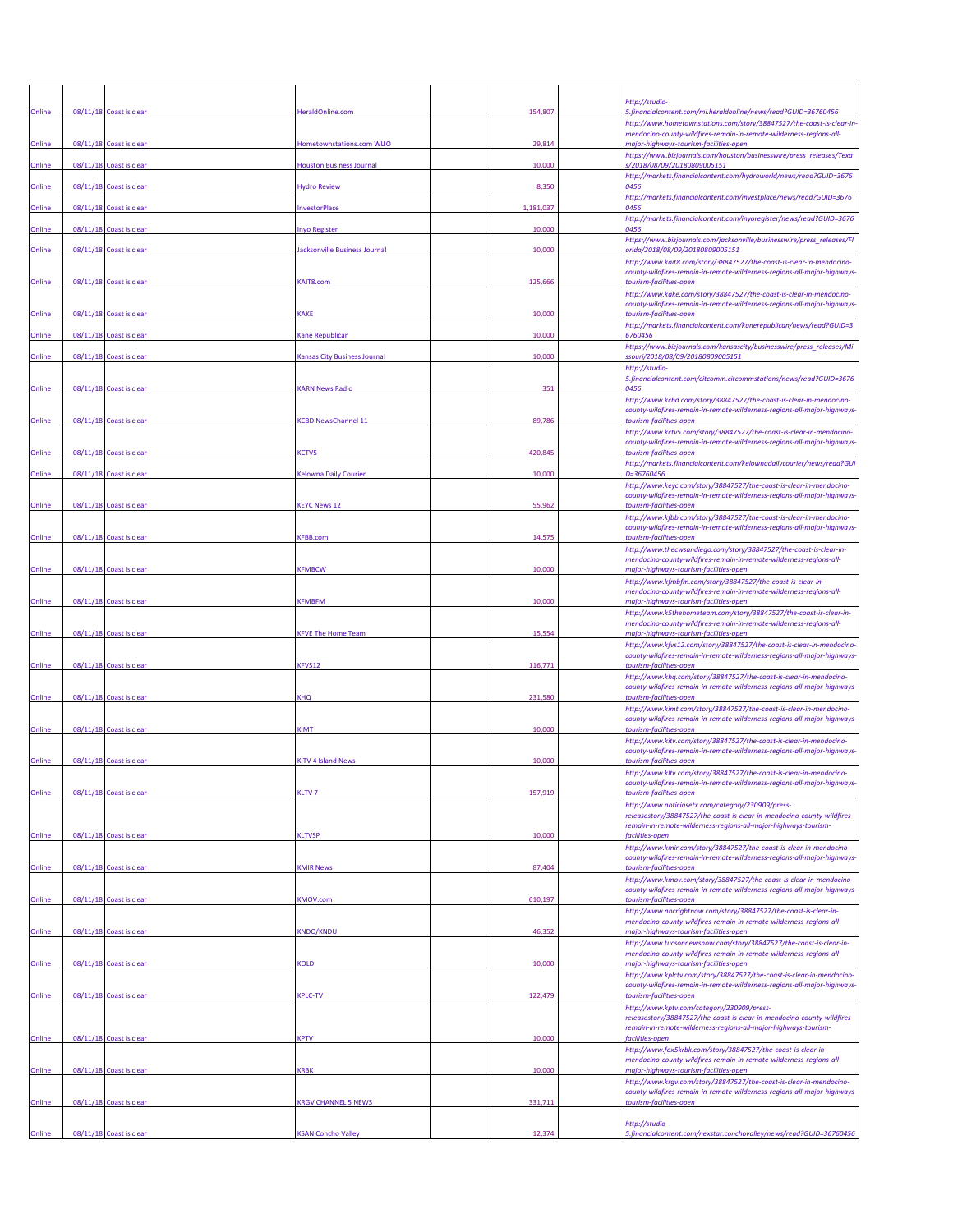|        |                         |                                     |           | http://studio-                                                                                                                                                                                                |
|--------|-------------------------|-------------------------------------|-----------|---------------------------------------------------------------------------------------------------------------------------------------------------------------------------------------------------------------|
| Online | 08/11/18 Coast is clear | HeraldOnline.com                    | 154,807   | 5.financialcontent.com/mi.heraldonline/news/read?GUID=36760456<br>http://www.hometownstations.com/story/38847527/the-coast-is-clear-in<br>mendocino-county-wildfires-remain-in-remote-wilderness-regions-all- |
| Online | 08/11/18 Coast is clear | Iometownstations.com WLIO           | 29,814    | major-highways-tourism-facilities-open<br>https://www.bizjournals.com/houston/businesswire/press_releases/Texa                                                                                                |
| Online | 08/11/18 Coast is clear | <b>Jouston Business Journal</b>     | 10,000    | s/2018/08/09/20180809005151<br>http://markets.financialcontent.com/hydroworld/news/read?GUID=3676                                                                                                             |
| Online | 08/11/18 Coast is clear | <b>Hydro Review</b>                 | 8,350     | 0456                                                                                                                                                                                                          |
| Online | 08/11/18 Coast is clear | nvestorPlace                        | 1,181,037 | http://markets.financialcontent.com/investplace/news/read?GUID=3676<br>0456                                                                                                                                   |
| Online | 08/11/18 Coast is clear | nyo Register                        | 10,000    | http://markets.financialcontent.com/inyoregister/news/read?GUID=3676<br>0456                                                                                                                                  |
| Online | 08/11/18 Coast is clear | acksonville Business Journal        | 10,000    | https://www.bizjournals.com/jacksonville/businesswire/press_releases/Fl<br>orida/2018/08/09/20180809005151                                                                                                    |
| Online | 08/11/18 Coast is clear | <b>CAIT8.com</b>                    | 125,666   | http://www.kait8.com/story/38847527/the-coast-is-clear-in-mendocino-<br>county-wildfires-remain-in-remote-wilderness-regions-all-major-highways-<br>tourism-facilities-open                                   |
| Online | 08/11/18 Coast is clear | <b>CAKE</b>                         | 10,000    | http://www.kake.com/story/38847527/the-coast-is-clear-in-mendocino-<br>county-wildfires-remain-in-remote-wilderness-regions-all-major-highways-<br>tourism-facilities-open                                    |
| Online | 08/11/18 Coast is clear | <b>Cane Republican</b>              | 10,000    | http://markets.financialcontent.com/kanerepublican/news/read?GUID=3<br>6760456                                                                                                                                |
| Online | 08/11/18 Coast is clear | <b>Cansas City Business Journal</b> | 10,000    | https://www.bizjournals.com/kansascity/businesswire/press_releases/Mi<br>ssouri/2018/08/09/20180809005151                                                                                                     |
|        |                         |                                     |           | http://studio-<br>5.financialcontent.com/citcomm.citcommstations/news/read?GUID=3676                                                                                                                          |
| Online | 08/11/18 Coast is clear | <b>CARN News Radio</b>              | 351       | 0456<br>http://www.kcbd.com/story/38847527/the-coast-is-clear-in-mendocino-                                                                                                                                   |
| Online | 08/11/18 Coast is clear | <b>CBD NewsChannel 11</b>           | 89,786    | county-wildfires-remain-in-remote-wilderness-regions-all-major-highways-<br>tourism-facilities-open                                                                                                           |
|        |                         |                                     |           | http://www.kctv5.com/story/38847527/the-coast-is-clear-in-mendocino-<br>county-wildfires-remain-in-remote-wilderness-regions-all-major-highways-                                                              |
| Online | 08/11/18 Coast is clear | <b>CTV5</b>                         | 420,845   | tourism-facilities-open<br>http://markets.financialcontent.com/kelownadailycourier/news/read?GUI                                                                                                              |
| Online | 08/11/18 Coast is clear | elowna Daily Courier                | 10,000    | D=36760456<br>http://www.keyc.com/story/38847527/the-coast-is-clear-in-mendocino-                                                                                                                             |
| Online | 08/11/18 Coast is clear | <b>(EYC News 12</b>                 | 55,962    | county-wildfires-remain-in-remote-wilderness-regions-all-major-highways-<br>tourism-facilities-open                                                                                                           |
|        |                         |                                     |           | http://www.kfbb.com/story/38847527/the-coast-is-clear-in-mendocino-<br>county-wildfires-remain-in-remote-wilderness-regions-all-major-highways-                                                               |
| Online | 08/11/18 Coast is clear | <b>FBB.com</b>                      | 14,575    | tourism-facilities-open<br>http://www.thecwsandiego.com/story/38847527/the-coast-is-clear-in-                                                                                                                 |
| Online | 08/11/18 Coast is clear | <b>FMBCW</b>                        | 10,000    | mendocino-county-wildfires-remain-in-remote-wilderness-regions-all-<br>major-highways-tourism-facilities-open                                                                                                 |
|        |                         |                                     |           | http://www.kfmbfm.com/story/38847527/the-coast-is-clear-in-<br>mendocino-county-wildfires-remain-in-remote-wilderness-regions-all-                                                                            |
| Online | 08/11/18 Coast is clear | <b>FMBFM</b>                        | 10,000    | major-highways-tourism-facilities-open<br>http://www.k5thehometeam.com/story/38847527/the-coast-is-clear-in-                                                                                                  |
| Online | 08/11/18 Coast is clear | <b>(FVE The Home Team</b>           | 15,554    | mendocino-county-wildfires-remain-in-remote-wilderness-regions-all-<br>major-highways-tourism-facilities-open                                                                                                 |
|        |                         |                                     |           | http://www.kfvs12.com/story/38847527/the-coast-is-clear-in-mendocino-<br>county-wildfires-remain-in-remote-wilderness-regions-all-major-highways-                                                             |
| Online | 08/11/18 Coast is clear | (FVS12                              | 116,771   | tourism-facilities-open<br>http://www.khq.com/story/38847527/the-coast-is-clear-in-mendocino-                                                                                                                 |
| Online | 08/11/18 Coast is clear | <b>CHO</b>                          | 231,580   | county-wildfires-remain-in-remote-wilderness-regions-all-major-highways-<br>tourism-facilities-open                                                                                                           |
|        |                         |                                     |           | http://www.kimt.com/story/38847527/the-coast-is-clear-in-mendocino-<br>county-wildfires-remain-in-remote-wilderness-regions-all-major-highways-                                                               |
| Online | 08/11/18 Coast is clear | <b>CIMT</b>                         | 10,000    | tourism-facilities-open<br>http://www.kitv.com/story/38847527/the-coast-is-clear-in-mendocino-                                                                                                                |
| Online | 08/11/18 Coast is clear | <b>KITV 4 Island News</b>           | 10,000    | county-wildfires-remain-in-remote-wilderness-regions-all-major-highways-<br>tourism-facilities-open                                                                                                           |
|        |                         |                                     |           | http://www.kltv.com/story/38847527/the-coast-is-clear-in-mendocino-<br>county-wildfires-remain-in-remote-wilderness-regions-all-major-highwa                                                                  |
| Online | 08/11/18 Coast is clear | <b>KLTV7</b>                        | 157,919   | tourism-facilities-open<br>http://www.noticiasetx.com/category/230909/press-                                                                                                                                  |
|        |                         |                                     |           | releasestory/38847527/the-coast-is-clear-in-mendocino-county-wildfires-<br>remain-in-remote-wilderness-regions-all-major-highways-tourism-                                                                    |
| Online | 08/11/18 Coast is clear | <b>LTVSP</b>                        | 10,000    | facilities-open<br>http://www.kmir.com/story/38847527/the-coast-is-clear-in-mendocino-                                                                                                                        |
| Online | 08/11/18 Coast is clear | <b>MIR News</b>                     | 87,404    | county-wildfires-remain-in-remote-wilderness-regions-all-major-highways-<br>tourism-facilities-open                                                                                                           |
|        |                         |                                     |           | http://www.kmov.com/story/38847527/the-coast-is-clear-in-mendocino-<br>county-wildfires-remain-in-remote-wilderness-regions-all-major-highways-                                                               |
| Online | 08/11/18 Coast is clear | MOV.com                             | 610,197   | tourism-facilities-open<br>http://www.nbcrightnow.com/story/38847527/the-coast-is-clear-in-                                                                                                                   |
| Online | 08/11/18 Coast is clear | (NDO/KNDU                           | 46,352    | mendocino-county-wildfires-remain-in-remote-wilderness-regions-all-<br>major-highways-tourism-facilities-open                                                                                                 |
|        | 08/11/18 Coast is clear |                                     |           | http://www.tucsonnewsnow.com/story/38847527/the-coast-is-clear-in-<br>mendocino-county-wildfires-remain-in-remote-wilderness-regions-all-                                                                     |
| Online |                         | KOLD                                | 10,000    | major-highways-tourism-facilities-open<br>http://www.kplctv.com/story/38847527/the-coast-is-clear-in-mendocino-<br>county-wildfires-remain-in-remote-wilderness-regions-all-major-highways-                   |
| Online | 08/11/18 Coast is clear | (PLC-TV                             | 122,479   | tourism-facilities-open                                                                                                                                                                                       |
|        |                         |                                     |           | http://www.kptv.com/category/230909/press-<br>releasestory/38847527/the-coast-is-clear-in-mendocino-county-wildfires-<br>remain-in-remote-wilderness-regions-all-major-highways-tourism-                      |
| Online | 08/11/18 Coast is clear | <b>CPTV</b>                         | 10,000    | facilities-open<br>http://www.fox5krbk.com/story/38847527/the-coast-is-clear-in-                                                                                                                              |
| Online | 08/11/18 Coast is clear | <b>CRBK</b>                         | 10,000    | mendocino-county-wildfires-remain-in-remote-wilderness-regions-all-<br>major-highways-tourism-facilities-open                                                                                                 |
| Online | 08/11/18 Coast is clear | <b>RGV CHANNEL 5 NEWS</b>           | 331,711   | http://www.krgv.com/story/38847527/the-coast-is-clear-in-mendocino-<br>county-wildfires-remain-in-remote-wilderness-regions-all-major-highways-<br>tourism-facilities-open                                    |
|        |                         |                                     |           | http://studio-                                                                                                                                                                                                |
| Online | 08/11/18 Coast is clear | <b>KSAN Concho Valley</b>           | 12,374    | 5.financialcontent.com/nexstar.conchovalley/news/read?GUID=36760456                                                                                                                                           |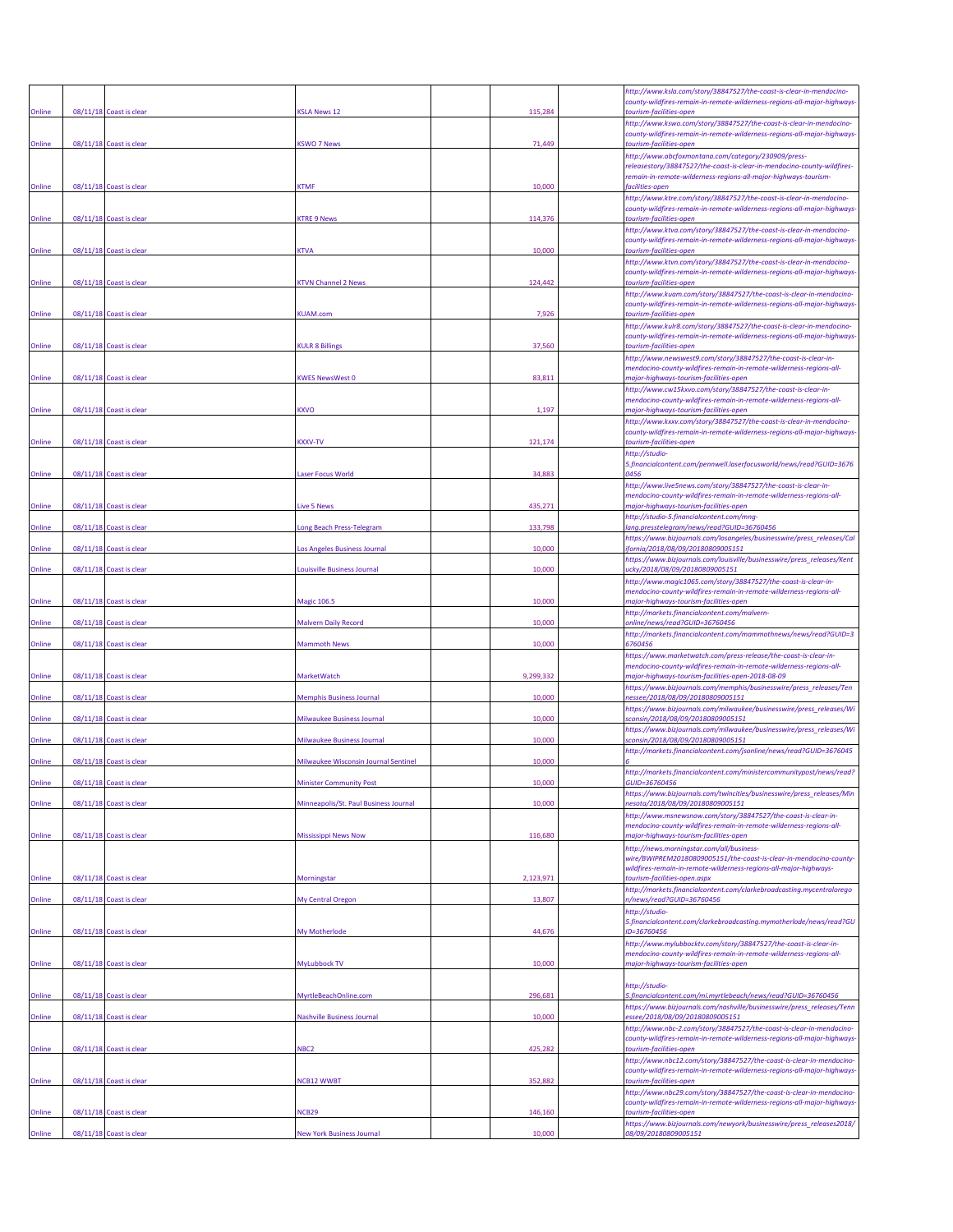|        |                         |                                       |           | http://www.ksla.com/story/38847527/the-coast-is-clear-in-mendocino-                                                                                                              |
|--------|-------------------------|---------------------------------------|-----------|----------------------------------------------------------------------------------------------------------------------------------------------------------------------------------|
| Online | 08/11/18 Coast is clear | <b>SLA News 12</b>                    | 115,284   | county-wildfires-remain-in-remote-wilderness-regions-all-major-highways-<br>tourism-facilities-open                                                                              |
| Online | 08/11/18 Coast is clear | <b>KSWO 7 News</b>                    | 71,449    | http://www.kswo.com/story/38847527/the-coast-is-clear-in-mendocino-<br>county-wildfires-remain-in-remote-wilderness-regions-all-major-highways-<br>tourism-facilities-open       |
|        |                         |                                       |           | http://www.abcfoxmontana.com/category/230909/press-<br>releasestory/38847527/the-coast-is-clear-in-mendocino-county-wildfires-                                                   |
| Online | 08/11/18 Coast is clear | <b>CTMF</b>                           | 10,000    | remain-in-remote-wilderness-regions-all-major-highways-tourism-<br>facilities-open                                                                                               |
| Online | 08/11/18 Coast is clear | <b>CTRE 9 News</b>                    | 114,376   | http://www.ktre.com/story/38847527/the-coast-is-clear-in-mendocino-<br>county-wildfires-remain-in-remote-wilderness-regions-all-major-highways-<br>tourism-facilities-open       |
|        |                         |                                       |           | http://www.ktva.com/story/38847527/the-coast-is-clear-in-mendocino-<br>county-wildfires-remain-in-remote-wilderness-regions-all-major-highways                                   |
| Online | 08/11/18 Coast is clear | <b>CTVA</b>                           | 10,000    | tourism-facilities-open<br>http://www.ktvn.com/story/38847527/the-coast-is-clear-in-mendocino-                                                                                   |
| Online | 08/11/18 Coast is clear | <b>KTVN Channel 2 News</b>            | 124,442   | county-wildfires-remain-in-remote-wilderness-regions-all-major-highways-<br>tourism-facilities-open                                                                              |
|        |                         |                                       |           | http://www.kuam.com/story/38847527/the-coast-is-clear-in-mendocino-<br>county-wildfires-remain-in-remote-wilderness-regions-all-major-highways                                   |
| Online | 08/11/18 Coast is clear | <b>KUAM.com</b>                       | 7,926     | tourism-facilities-open<br>http://www.kulr8.com/story/38847527/the-coast-is-clear-in-mendocino-                                                                                  |
| Online | 08/11/18 Coast is clear | <b>CULR 8 Billings</b>                | 37,560    | county-wildfires-remain-in-remote-wilderness-regions-all-major-highways-<br>tourism-facilities-open                                                                              |
| Online | 08/11/18 Coast is clear | <b>KWES NewsWest 0</b>                | 83,811    | http://www.newswest9.com/story/38847527/the-coast-is-clear-in-<br>mendocino-county-wildfires-remain-in-remote-wilderness-regions-all-<br>najor-highways-tourism-facilities-open  |
|        |                         |                                       |           | http://www.cw15kxvo.com/story/38847527/the-coast-is-clear-in-<br>mendocino-county-wildfires-remain-in-remote-wilderness-regions-all-                                             |
| Online | 08/11/18 Coast is clear | <b>XVO</b>                            | 1,197     | major-highways-tourism-facilities-open<br>http://www.kxxv.com/story/38847527/the-coast-is-clear-in-mendocino-                                                                    |
| Online | 08/11/18 Coast is clear | <b>XXV-TV</b>                         | 121,174   | county-wildfires-remain-in-remote-wilderness-regions-all-major-highways-<br>tourism-facilities-open                                                                              |
|        |                         |                                       |           | http://studio-<br>5.financialcontent.com/pennwell.laserfocusworld/news/read?GUID=3676                                                                                            |
| Online | 08/11/18 Coast is clear | aser Focus World                      | 34,883    | 1456<br>http://www.live5news.com/story/38847527/the-coast-is-clear-in-                                                                                                           |
| Online | 08/11/18 Coast is clear | ive 5 News                            | 435,271   | mendocino-county-wildfires-remain-in-remote-wilderness-regions-all-<br>major-highways-tourism-facilities-open                                                                    |
| Online | 08/11/18 Coast is clear | ong Beach Press-Telegram              | 133,798   | http://studio-5.financialcontent.com/mng-<br>lang.presstelegram/news/read?GUID=36760456                                                                                          |
| Online | 08/11/18 Coast is clear | Los Angeles Business Journal          | 10,000    | https://www.bizjournals.com/losangeles/businesswire/press_releases/Ca<br>fornia/2018/08/09/20180809005151                                                                        |
| Online | 08/11/18 Coast is clear | ouisville Business Journal            | 10,000    | https://www.bizjournals.com/louisville/businesswire/press_releases/Kent<br>ucky/2018/08/09/20180809005151                                                                        |
|        |                         |                                       |           | http://www.magic1065.com/story/38847527/the-coast-is-clear-in-<br>mendocino-county-wildfires-remain-in-remote-wilderness-regions-all-                                            |
| Online | 08/11/18 Coast is clear | <b>Magic 106.5</b>                    | 10,000    | major-highways-tourism-facilities-open<br>http://markets.financialcontent.com/malvern-                                                                                           |
| Online | 08/11/18 Coast is clear | <b>Malvern Daily Record</b>           | 10,000    | online/news/read?GUID=36760456<br>http://markets.financialcontent.com/mammothnews/news/read?GUID=3                                                                               |
| Online | 08/11/18 Coast is clear | <b>Mammoth News</b>                   | 10,000    | 5760456<br>https://www.marketwatch.com/press-release/the-coast-is-clear-in-                                                                                                      |
| Online | 08/11/18 Coast is clear | MarketWatch                           | 9,299,332 | mendocino-county-wildfires-remain-in-remote-wilderness-regions-all-<br>major-highways-tourism-facilities-open-2018-08-09                                                         |
| Online | 08/11/18 Coast is clear | <b>Memphis Business Journal</b>       | 10,000    | https://www.bizjournals.com/memphis/businesswire/press_releases/Ten<br>nessee/2018/08/09/20180809005151                                                                          |
| Online | 08/11/18 Coast is clear | <b>Milwaukee Business Journal</b>     | 10,000    | https://www.bizjournals.com/milwaukee/businesswire/press_releases/Wi<br>sconsin/2018/08/09/20180809005151                                                                        |
| Online | 08/11/18 Coast is clear | Milwaukee Business Journal            | 10,000    | https://www.bizjournals.com/milwaukee/businesswire/press_releases/Wi<br>sconsin/2018/08/09/20180809005151<br>http://markets.financialcontent.com/jsonline/news/read?GUID=3676045 |
| Online | 08/11/18 Coast is clear | Milwaukee Wisconsin Journal Sentinel  | 10,000    | http://markets.financialcontent.com/ministercommunitypost/news/read?                                                                                                             |
| Online | 08/11/18 Coast is clear | <b>Minister Community Post</b>        | 10,000    | <i>GUID=36760456</i><br>https://www.bizjournals.com/twincities/businesswire/press_releases/Min                                                                                   |
| Online | 08/11/18 Coast is clear | Minneapolis/St. Paul Business Journal | 10,000    | resota/2018/08/09/20180809005151<br>http://www.msnewsnow.com/story/38847527/the-coast-is-clear-in-                                                                               |
| Online | 08/11/18 Coast is clear | <b>Mississippi News Now</b>           | 116,680   | mendocino-county-wildfires-remain-in-remote-wilderness-regions-all-<br>major-highways-tourism-facilities-open                                                                    |
|        |                         |                                       |           | http://news.morningstar.com/all/business-<br>wire/BWIPREM20180809005151/the-coast-is-clear-in-mendocino-county-                                                                  |
| Online | 08/11/18 Coast is clear | Morningstar                           | 2,123,971 | wildfires-remain-in-remote-wilderness-regions-all-major-highways-<br>tourism-facilities-open.aspx                                                                                |
| Online | 08/11/18 Coast is clear | My Central Oregon                     | 13,807    | http://markets.financialcontent.com/clarkebroadcasting.mycentralorego<br>n/news/read?GUID=36760456                                                                               |
|        |                         |                                       |           | http://studio-<br>5.financialcontent.com/clarkebroadcasting.mymotherlode/news/read?GU                                                                                            |
| Online | 08/11/18 Coast is clear | My Motherlode                         | 44,676    | ID=36760456<br>http://www.mylubbocktv.com/story/38847527/the-coast-is-clear-in-                                                                                                  |
| Online | 08/11/18 Coast is clear | MyLubbock TV                          | 10,000    | mendocino-county-wildfires-remain-in-remote-wilderness-regions-all-<br>major-highways-tourism-facilities-open                                                                    |
|        |                         |                                       |           | http://studio-                                                                                                                                                                   |
| Online | 08/11/18 Coast is clear | MyrtleBeachOnline.com                 | 296,681   | 5.financialcontent.com/mi.myrtlebeach/news/read?GUID=36760456<br>https://www.bizjournals.com/nashville/businesswire/press_releases/Tenn                                          |
| Online | 08/11/18 Coast is clear | <b>Nashville Business Journal</b>     | 10,000    | essee/2018/08/09/20180809005151<br>http://www.nbc-2.com/story/38847527/the-coast-is-clear-in-mendocino-                                                                          |
| Online | 08/11/18 Coast is clear | VBC <sub>2</sub>                      | 425,282   | county-wildfires-remain-in-remote-wilderness-regions-all-major-highways-<br>tourism-facilities-open                                                                              |
| Online | 08/11/18 Coast is clear | <b>NCB12 WWBT</b>                     | 352,882   | http://www.nbc12.com/story/38847527/the-coast-is-clear-in-mendocino-<br>county-wildfires-remain-in-remote-wilderness-regions-all-major-highways-<br>tourism-facilities-open      |
|        |                         |                                       |           | http://www.nbc29.com/story/38847527/the-coast-is-clear-in-mendocino-                                                                                                             |
| Online | 08/11/18 Coast is clear | <b>NCB29</b>                          | 146,160   | county-wildfires-remain-in-remote-wilderness-regions-all-major-highways-<br>tourism-facilities-open<br>https://www.bizjournals.com/newyork/businesswire/press_releases2018/      |
| Online | 08/11/18 Coast is clear | <b>New York Business Journal</b>      | 10,000    | 08/09/20180809005151                                                                                                                                                             |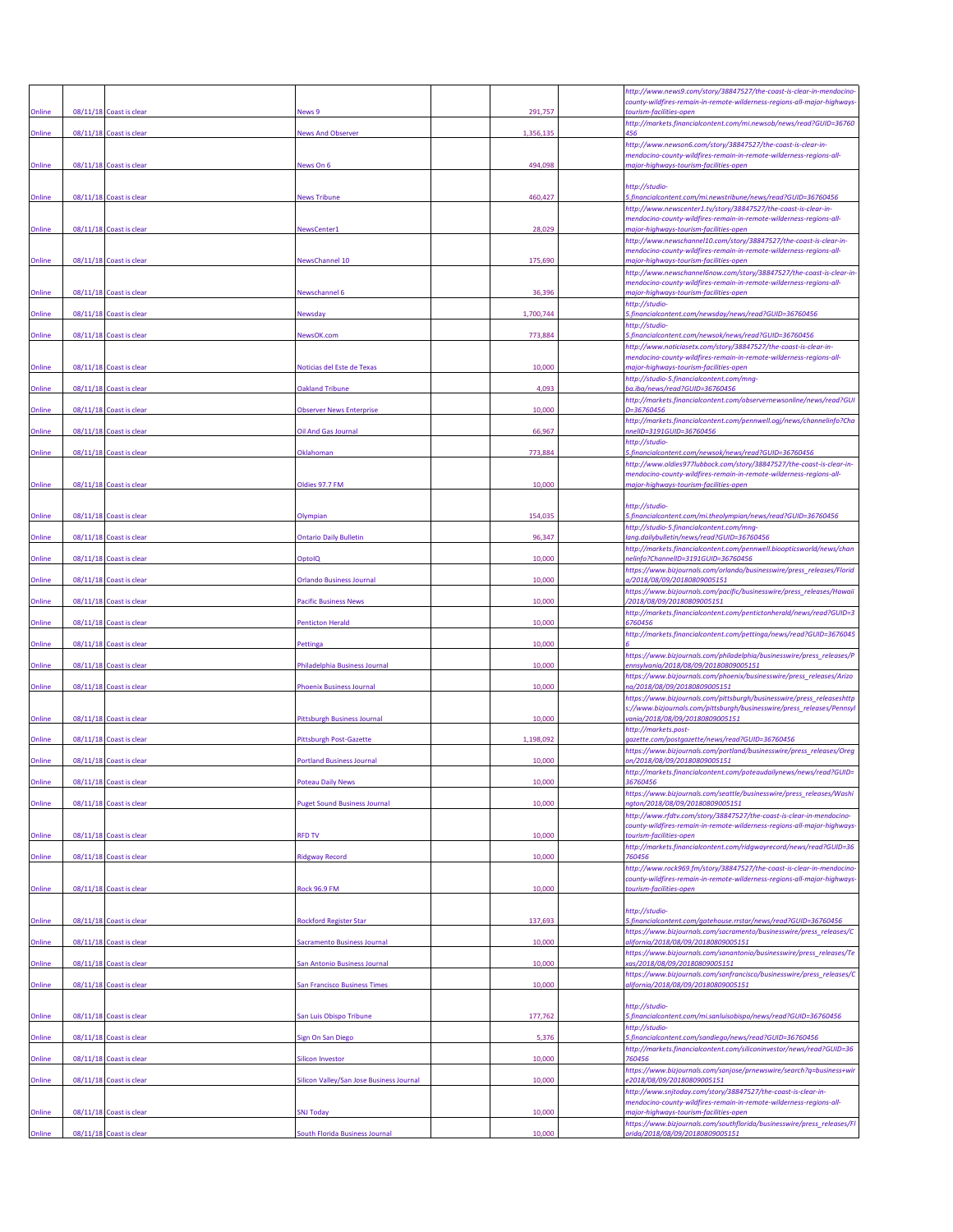| Online | 08/11/18 Coast is clear | <b>News 9</b>                            | 291,757   | http://www.news9.com/story/38847527/the-coast-is-clear-in-mendocino-<br>county-wildfires-remain-in-remote-wilderness-regions-all-major-highways<br>tourism-facilities-open          |
|--------|-------------------------|------------------------------------------|-----------|-------------------------------------------------------------------------------------------------------------------------------------------------------------------------------------|
| Online | 08/11/18 Coast is clear | <b>Vews And Observer</b>                 | 1,356,135 | http://markets.financialcontent.com/mi.newsob/news/read?GUID=36760<br>456                                                                                                           |
| Online | 08/11/18 Coast is clear | News On 6                                | 494,098   | http://www.newson6.com/story/38847527/the-coast-is-clear-in-<br>mendocino-county-wildfires-remain-in-remote-wilderness-regions-all-<br>major-highways-tourism-facilities-open       |
| Online | 08/11/18 Coast is clear | <b>News Tribune</b>                      | 460,427   | http://studio-<br>5.financialcontent.com/mi.newstribune/news/read?GUID=36760456                                                                                                     |
| Online | 08/11/18 Coast is clear | NewsCenter1                              | 28,029    | http://www.newscenter1.tv/story/38847527/the-coast-is-clear-in-<br>mendocino-county-wildfires-remain-in-remote-wilderness-regions-all-<br>major-highways-tourism-facilities-open    |
| Online | 08/11/18 Coast is clear | <b>NewsChannel 10</b>                    | 175,690   | http://www.newschannel10.com/story/38847527/the-coast-is-clear-in-<br>mendocino-county-wildfires-remain-in-remote-wilderness-regions-all-<br>major-highways-tourism-facilities-open |
| Online | 08/11/18 Coast is clear | <b>Newschannel 6</b>                     | 36,396    | http://www.newschannel6now.com/story/38847527/the-coast-is-clear-in<br>mendocino-county-wildfires-remain-in-remote-wilderness-regions-all-                                          |
| Online | 08/11/18 Coast is clear | Newsday                                  | 1,700,744 | major-highways-tourism-facilities-open<br>http://studio-<br>5.financialcontent.com/newsday/news/read?GUID=36760456                                                                  |
| Online | 08/11/18 Coast is clear | NewsOK.com                               | 773,884   | http://studio-<br>5.financialcontent.com/newsok/news/read?GUID=36760456                                                                                                             |
|        |                         |                                          |           | http://www.noticiasetx.com/story/38847527/the-coast-is-clear-in-<br>mendocino-county-wildfires-remain-in-remote-wilderness-regions-all-                                             |
| Online | 08/11/18 Coast is clear | Noticias del Este de Texas               | 10,000    | major-highways-tourism-facilities-open<br>http://studio-5.financialcontent.com/mng-                                                                                                 |
| Online | 08/11/18 Coast is clear | <b>Oakland Tribune</b>                   | 4,093     | ba.iba/news/read?GUID=36760456<br>http://markets.financialcontent.com/observernewsonline/news/read?GUI                                                                              |
| Online | 08/11/18 Coast is clear | Observer News Enterprise                 | 10,000    | D=36760456<br>http://markets.financialcontent.com/pennwell.ogj/news/channelinfo?Cha                                                                                                 |
| Online | 08/11/18 Coast is clear | Oil And Gas Journal                      | 66,967    | nnelID=3191GUID=36760456<br>http://studio-                                                                                                                                          |
| Online | 08/11/18 Coast is clear | Oklahoman                                | 773,884   | 5.financialcontent.com/newsok/news/read?GUID=36760456<br>http://www.oldies977lubbock.com/story/38847527/the-coast-is-clear-in-                                                      |
| Online | 08/11/18 Coast is clear | Oldies 97.7 FM                           | 10,000    | mendocino-county-wildfires-remain-in-remote-wilderness-regions-all-<br>major-highways-tourism-facilities-open                                                                       |
|        |                         |                                          |           | http://studio-                                                                                                                                                                      |
| Online | 08/11/18 Coast is clear | <b>Olympian</b>                          | 154,035   | 5.financialcontent.com/mi.theolympian/news/read?GUID=36760456<br>http://studio-5.financialcontent.com/mng-                                                                          |
| Online | 08/11/18 Coast is clear | <b>Ontario Daily Bulletin</b>            | 96,347    | lang.dailybulletin/news/read?GUID=36760456<br>http://markets.financialcontent.com/pennwell.bioopticsworld/news/chan                                                                 |
| Online | 08/11/18 Coast is clear | OptolQ                                   | 10,000    | elinfo?ChannelID=3191GUID=36760456<br>https://www.bizjournals.com/orlando/businesswire/press_releases/Florid                                                                        |
| Online | 08/11/18 Coast is clear | <b>Orlando Business Journal</b>          | 10,000    | a/2018/08/09/20180809005151<br>https://www.bizjournals.com/pacific/businesswire/press_releases/Hawaii                                                                               |
| Online | 08/11/18 Coast is clear | <b>Pacific Business News</b>             | 10,000    | /2018/08/09/20180809005151                                                                                                                                                          |
| Online | 08/11/18 Coast is clear | <b>Penticton Herald</b>                  | 10,000    | http://markets.financialcontent.com/pentictonherald/news/read?GUID=3<br>6760456                                                                                                     |
| Online | 08/11/18 Coast is clear | Pettinga                                 | 10,000    | http://markets.financialcontent.com/pettinga/news/read?GUID=3676045                                                                                                                 |
| Online | 08/11/18 Coast is clear | Philadelphia Business Journal            | 10,000    | https://www.bizjournals.com/philadelphia/businesswire/press_releases/P<br>ennsylvania/2018/08/09/20180809005151                                                                     |
| Online | 08/11/18 Coast is clear | <b>Phoenix Business Journal</b>          | 10,000    | https://www.bizjournals.com/phoenix/businesswire/press_releases/Arizo<br>na/2018/08/09/20180809005151                                                                               |
| Online | 08/11/18 Coast is clear | Pittsburgh Business Journal              | 10,000    | https://www.bizjournals.com/pittsburgh/businesswire/press_releaseshttp<br>s://www.bizjournals.com/pittsburgh/businesswire/press_releases/Pennsyl<br>vania/2018/08/09/20180809005151 |
| Online | 08/11/18 Coast is clear | Pittsburgh Post-Gazette                  | 1,198,092 | http://markets.post-<br>gazette.com/postgazette/news/read?GUID=36760456                                                                                                             |
| Online | 08/11/18 Coast is clear | <b>Portland Business Journal</b>         | 10,000    | https://www.bizjournals.com/portland/businesswire/press_releases/Oreg<br>on/2018/08/09/20180809005151                                                                               |
|        |                         |                                          |           | http://markets.financialcontent.com/poteaudailynews/news/read?GUID=                                                                                                                 |
| Online | 08/11/18 Coast is clear | Puget Sound Business Journal             | 10,000    | https://www.bizjournals.com/seattle/businesswire/press_releases/Washi<br>naton/2018/08/09/20180809005151                                                                            |
|        |                         |                                          |           | http://www.rfdtv.com/story/38847527/the-coast-is-clear-in-mendocino-<br>county-wildfires-remain-in-remote-wilderness-regions-all-major-highways                                     |
| Online | 08/11/18 Coast is clear | <b>RFD TV</b>                            | 10,000    | tourism-facilities-open<br>http://markets.financialcontent.com/ridgwayrecord/news/read?GUID=36                                                                                      |
| Online | 08/11/18 Coast is clear | Ridgway Record                           | 10,000    | 760456<br>http://www.rock969.fm/story/38847527/the-coast-is-clear-in-mendocino-                                                                                                     |
| Online | 08/11/18 Coast is clear | Rock 96.9 FM                             | 10,000    | county-wildfires-remain-in-remote-wilderness-regions-all-major-highways-<br>tourism-facilities-open                                                                                 |
| Online | 08/11/18 Coast is clear | <b>Rockford Register Star</b>            | 137,693   | http://studio-<br>5.financialcontent.com/gatehouse.rrstar/news/read?GUID=36760456                                                                                                   |
| Online | 08/11/18 Coast is clear | Sacramento Business Journal              | 10,000    | https://www.bizjournals.com/sacramento/businesswire/press_releases/C<br>alifornia/2018/08/09/20180809005151                                                                         |
| Online | 08/11/18 Coast is clear | San Antonio Business Journal             | 10,000    | https://www.bizjournals.com/sanantonio/businesswire/press_releases/Te<br>xas/2018/08/09/20180809005151                                                                              |
| Online | 08/11/18 Coast is clear | San Francisco Business Times             | 10,000    | https://www.bizjournals.com/sanfrancisco/businesswire/press_releases/C<br>alifornia/2018/08/09/20180809005151                                                                       |
|        |                         |                                          |           | http://studio-                                                                                                                                                                      |
| Online | 08/11/18 Coast is clear | San Luis Obispo Tribune                  | 177,762   | 5.financialcontent.com/mi.sanluisobispo/news/read?GUID=36760456<br>http://studio-                                                                                                   |
| Online | 08/11/18 Coast is clear | sign On San Diego                        | 5,376     | 5.financialcontent.com/sandiego/news/read?GUID=36760456<br>http://markets.financialcontent.com/siliconinvestor/news/read?GUID=36                                                    |
| Online | 08/11/18 Coast is clear | Silicon Investor                         | 10,000    | 760456<br>https://www.bizjournals.com/sanjose/prnewswire/search?q=business+wir                                                                                                      |
| Online | 08/11/18 Coast is clear | Silicon Valley/San Jose Business Journal | 10,000    | e2018/08/09/20180809005151<br>http://www.snjtoday.com/story/38847527/the-coast-is-clear-in-                                                                                         |
| Online |                         | <b>SNJ Today</b>                         | 10,000    | mendocino-county-wildfires-remain-in-remote-wilderness-regions-all-<br>major-highways-tourism-facilities-open                                                                       |
|        | 08/11/18 Coast is clear |                                          |           | https://www.bizjournals.com/southflorida/businesswire/press_releases/Fl                                                                                                             |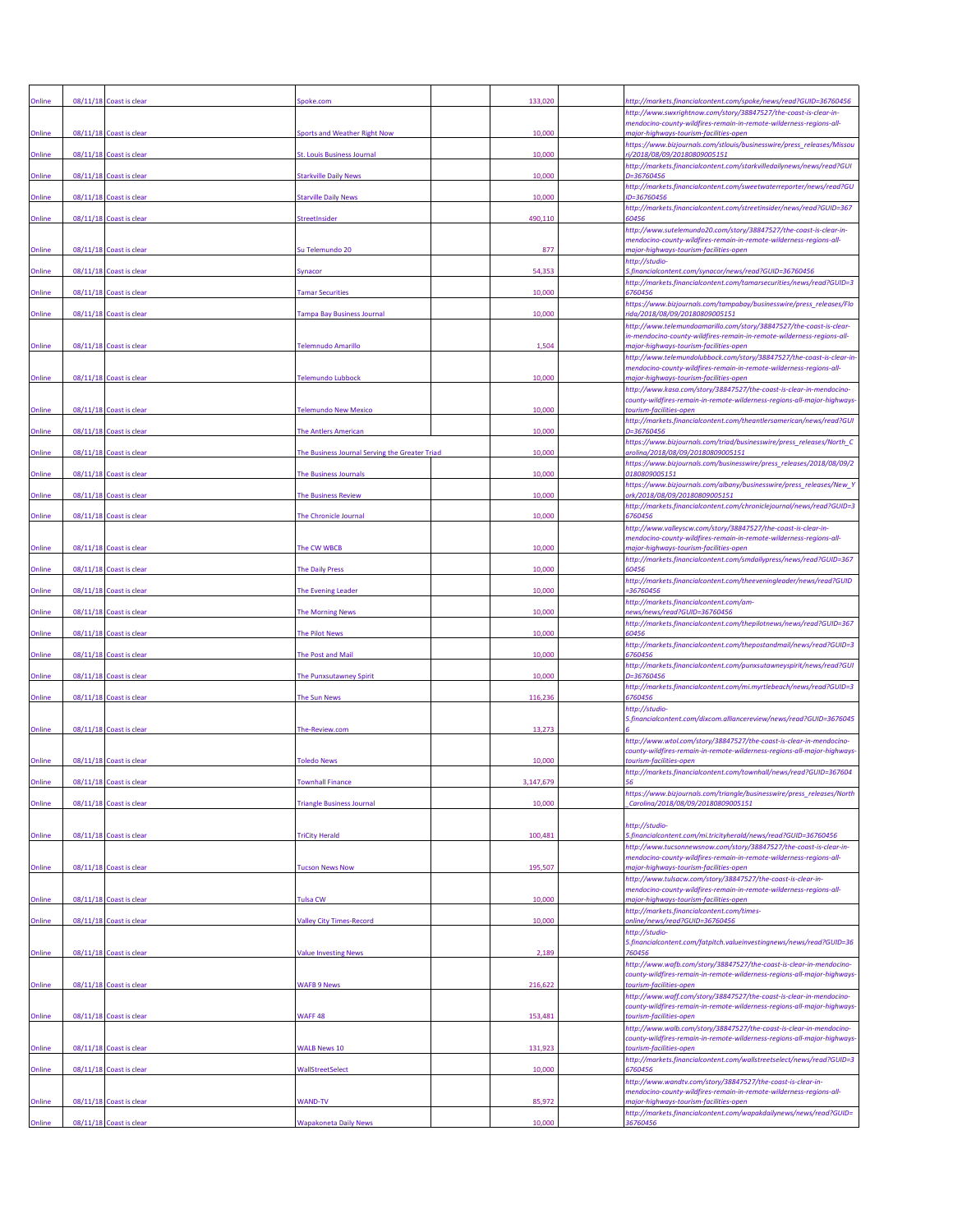| Online  |          | 08/11/18 Coast is clear | spoke.com                                      | 133,020 | http://markets.financialcontent.com/spoke/news/read?GUID=36760456                                                                               |
|---------|----------|-------------------------|------------------------------------------------|---------|-------------------------------------------------------------------------------------------------------------------------------------------------|
|         |          |                         |                                                |         | http://www.swxrightnow.com/story/38847527/the-coast-is-clear-in-<br>mendocino-county-wildfires-remain-in-remote-wilderness-regions-all-         |
| Online  |          | 08/11/18 Coast is clear | Sports and Weather Right Now                   | 10,000  | major-highways-tourism-facilities-open<br>https://www.bizjournals.com/stlouis/businesswire/press_releases/Missou                                |
| Online  |          | 08/11/18 Coast is clear | <b>St. Louis Business Journal</b>              | 10,000  | ri/2018/08/09/20180809005151<br>http://markets.financialcontent.com/starkvilledailynews/news/read?GUI                                           |
| Online  |          | 08/11/18 Coast is clear | Starkville Daily News                          | 10,000  | D=36760456<br>http://markets.financialcontent.com/sweetwaterreporter/news/read?GU                                                               |
| Online  |          | 08/11/18 Coast is clear | <b>Starville Daily News</b>                    | 10,000  | ID=36760456<br>http://markets.financialcontent.com/streetinsider/news/read?GUID=367                                                             |
| Online  |          | 08/11/18 Coast is clear | <b>StreetInsider</b>                           | 490,110 | 60456<br>http://www.sutelemundo20.com/story/38847527/the-coast-is-clear-in-                                                                     |
| Online  |          | 08/11/18 Coast is clear | Su Telemundo 20                                | 877     | mendocino-county-wildfires-remain-in-remote-wilderness-regions-all-<br>major-highways-tourism-facilities-open                                   |
| Online  |          | 08/11/18 Coast is clear | Synacor                                        | 54,353  | http://studio-<br>5.financialcontent.com/synacor/news/read?GUID=36760456                                                                        |
| Online  |          | 08/11/18 Coast is clear | <b>Tamar Securities</b>                        | 10,000  | http://markets.financialcontent.com/tamarsecurities/news/read?GUID=3<br>6760456                                                                 |
| Online  |          | 08/11/18 Coast is clear | <b>Tampa Bay Business Journal</b>              | 10,000  | https://www.bizjournals.com/tampabay/businesswire/press_releases/Flo<br>rida/2018/08/09/20180809005151                                          |
|         |          |                         |                                                |         | http://www.telemundoamarillo.com/story/38847527/the-coast-is-clear-<br>in-mendocino-county-wildfires-remain-in-remote-wilderness-regions-all-   |
| Online  |          | 08/11/18 Coast is clear | <b>Felemnudo Amarillo</b>                      | 1,504   | major-highways-tourism-facilities-open<br>http://www.telemundolubbock.com/story/38847527/the-coast-is-clear-in                                  |
| Online  |          | 08/11/18 Coast is clear | <b>Telemundo Lubbock</b>                       | 10,000  | mendocino-county-wildfires-remain-in-remote-wilderness-regions-all-<br>major-highways-tourism-facilities-open                                   |
|         |          |                         |                                                |         | http://www.kasa.com/story/38847527/the-coast-is-clear-in-mendocino-                                                                             |
| Online  |          | 08/11/18 Coast is clear | <b>Felemundo New Mexico</b>                    | 10,000  | county-wildfires-remain-in-remote-wilderness-regions-all-major-highways<br>tourism-facilities-open                                              |
| Online  |          | 08/11/18 Coast is clear | The Antlers American                           | 10,000  | http://markets.financialcontent.com/theantlersamerican/news/read?GUI<br>D=36760456                                                              |
| Online  |          | 08/11/18 Coast is clear | The Business Journal Serving the Greater Triad | 10,000  | https://www.bizjournals.com/triad/businesswire/press_releases/North_C<br>arolina/2018/08/09/20180809005151                                      |
| Online  | 08/11/18 | Coast is clear          | <b>The Business Journals</b>                   | 10,000  | https://www.bizjournals.com/businesswire/press_releases/2018/08/09/2<br>0180809005151                                                           |
| Online  |          | 08/11/18 Coast is clear | <b>The Business Review</b>                     | 10,000  | https://www.bizjournals.com/albany/businesswire/press_releases/New_<br>ork/2018/08/09/20180809005151                                            |
| Online  |          | 08/11/18 Coast is clear | The Chronicle Journal                          | 10,000  | http://markets.financialcontent.com/chroniclejournal/news/read?GUID=3<br>6760456                                                                |
|         |          |                         |                                                |         | http://www.valleyscw.com/story/38847527/the-coast-is-clear-in-<br>mendocino-county-wildfires-remain-in-remote-wilderness-regions-all-           |
| Online  |          | 08/11/18 Coast is clear | The CW WBCB                                    | 10,000  | major-highways-tourism-facilities-open<br>http://markets.financialcontent.com/smdailypress/news/read?GUID=367                                   |
| Online  |          | 08/11/18 Coast is clear | <b>The Daily Press</b>                         | 10,000  | 60456<br>http://markets.financialcontent.com/theeveningleader/news/read?GUID                                                                    |
| Online  |          | 08/11/18 Coast is clear | The Evening Leader                             | 10,000  | -36760456<br>http://markets.financialcontent.com/am-                                                                                            |
| Online  |          | 08/11/18 Coast is clear | <b>The Morning News</b>                        | 10,000  | news/news/read?GUID=36760456<br>http://markets.financialcontent.com/thepilotnews/news/read?GUID=367                                             |
| Online  |          | 08/11/18 Coast is clear | <b>The Pilot News</b>                          | 10,000  | 60456<br>http://markets.financialcontent.com/thepostandmail/news/read?GUID=3                                                                    |
| Online  |          | 08/11/18 Coast is clear | The Post and Mail                              | 10,000  | 6760456<br>http://markets.financialcontent.com/punxsutawneyspirit/news/read?GUI                                                                 |
| Online  |          | 08/11/18 Coast is clear | The Punxsutawney Spirit                        | 10,000  | D=36760456                                                                                                                                      |
| Online  |          | 08/11/18 Coast is clear | The Sun News                                   | 116,236 | http://markets.financialcontent.com/mi.myrtlebeach/news/read?GUID=3<br>6760456                                                                  |
|         |          |                         |                                                |         | http://studio-<br>5.financialcontent.com/dixcom.alliancereview/news/read?GUID=3676045                                                           |
| Online  |          | 08/11/18 Coast is clear | The-Review.com                                 | 13,273  | http://www.wtol.com/story/38847527/the-coast-is-clear-in-mendocino-                                                                             |
| Online  |          | 08/11/18 Coast is clear | <b>Toledo News</b>                             | 10,000  | county-wildfires-remain-in-remote-wilderness-regions-all-major-highways<br>tourism-facilities-open                                              |
| .)nline |          |                         |                                                |         | http://markets.financialcontent.com/townhall/news/read?GUID=367604                                                                              |
| Online  |          | 08/11/18 Coast is clear | <b>Triangle Business Journal</b>               | 10,000  | https://www.bizjournals.com/triangle/businesswire/press_releases/North<br>Carolina/2018/08/09/20180809005151                                    |
|         |          |                         |                                                |         | http://studio-                                                                                                                                  |
| Online  |          | 08/11/18 Coast is clear | <b>TriCity Herald</b>                          | 100,481 | 5.financialcontent.com/mi.tricityherald/news/read?GUID=36760456<br>http://www.tucsonnewsnow.com/story/38847527/the-coast-is-clear-in-           |
| Online  |          | 08/11/18 Coast is clear | <b>Tucson News Now</b>                         | 195,507 | mendocino-county-wildfires-remain-in-remote-wilderness-regions-all-<br>major-highways-tourism-facilities-open                                   |
|         |          |                         |                                                |         | http://www.tulsacw.com/story/38847527/the-coast-is-clear-in-<br>mendocino-county-wildfires-remain-in-remote-wilderness-regions-all-             |
| Online  |          | 08/11/18 Coast is clear | <b>Tulsa CW</b>                                | 10,000  | major-highways-tourism-facilities-open<br>http://markets.financialcontent.com/times-                                                            |
| Online  |          | 08/11/18 Coast is clear | <b>Valley City Times-Record</b>                | 10,000  | online/news/read?GUID=36760456<br>http://studio-                                                                                                |
| Online  |          | 08/11/18 Coast is clear | <b>Value Investing News</b>                    | 2,189   | 5.financialcontent.com/fatpitch.valueinvestingnews/news/read?GUID=36<br>760456                                                                  |
|         |          |                         |                                                |         | http://www.wafb.com/story/38847527/the-coast-is-clear-in-mendocino-<br>county-wildfires-remain-in-remote-wilderness-regions-all-major-highways- |
| Online  |          | 08/11/18 Coast is clear | <b>WAFB 9 News</b>                             | 216,622 | tourism-facilities-open<br>http://www.waff.com/story/38847527/the-coast-is-clear-in-mendocino-                                                  |
| Online  |          | 08/11/18 Coast is clear | WAFF <sub>48</sub>                             | 153,481 | county-wildfires-remain-in-remote-wilderness-regions-all-major-highways<br>tourism-facilities-open                                              |
|         |          |                         |                                                |         | http://www.walb.com/story/38847527/the-coast-is-clear-in-mendocino-                                                                             |
| Online  |          | 08/11/18 Coast is clear | <b>WALB News 10</b>                            | 131,923 | county-wildfires-remain-in-remote-wilderness-regions-all-major-highways-<br>tourism-facilities-open                                             |
| Online  |          | 08/11/18 Coast is clear | WallStreetSelect                               | 10,000  | http://markets.financialcontent.com/wallstreetselect/news/read?GUID=3<br>6760456                                                                |
|         |          |                         |                                                |         | http://www.wandtv.com/story/38847527/the-coast-is-clear-in-<br>mendocino-county-wildfires-remain-in-remote-wilderness-regions-all-              |
| Online  |          | 08/11/18 Coast is clear | WAND-TV                                        | 85,972  | major-highways-tourism-facilities-open<br>http://markets.financialcontent.com/wapakdailynews/news/read?GUID=                                    |
| Online  |          | 08/11/18 Coast is clear | <b>Wapakoneta Daily News</b>                   | 10,000  | 36760456                                                                                                                                        |